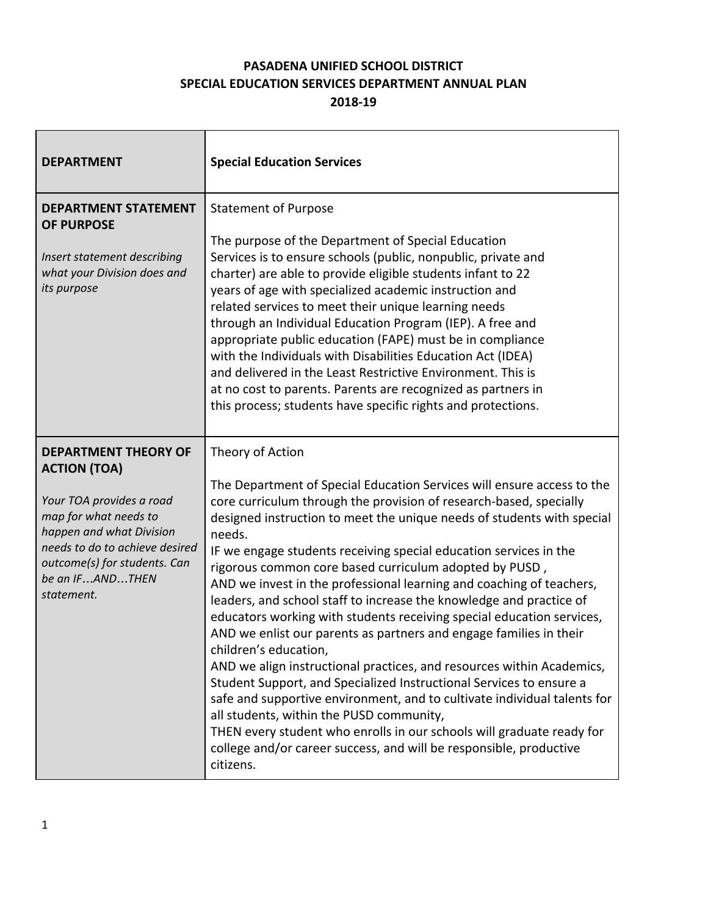## **PASADENA UNIFIED SCHOOL DISTRICT SPECIAL EDUCATION SERVICES DEPARTMENT ANNUAL PLAN**

**2018-19**

 $\overline{\phantom{a}}$ 

| <b>DEPARTMENT</b>                                                                                                                                                                                                                      | <b>Special Education Services</b>                                                                                                                                                                                                                                                                                                                                                                                                                                                                                                                                                                                                                                                                                                                                                                                                                                                                                                                                                                                                                                                                                                              |
|----------------------------------------------------------------------------------------------------------------------------------------------------------------------------------------------------------------------------------------|------------------------------------------------------------------------------------------------------------------------------------------------------------------------------------------------------------------------------------------------------------------------------------------------------------------------------------------------------------------------------------------------------------------------------------------------------------------------------------------------------------------------------------------------------------------------------------------------------------------------------------------------------------------------------------------------------------------------------------------------------------------------------------------------------------------------------------------------------------------------------------------------------------------------------------------------------------------------------------------------------------------------------------------------------------------------------------------------------------------------------------------------|
| <b>DEPARTMENT STATEMENT</b><br><b>OF PURPOSE</b><br>Insert statement describing<br>what your Division does and<br>its purpose                                                                                                          | <b>Statement of Purpose</b><br>The purpose of the Department of Special Education<br>Services is to ensure schools (public, nonpublic, private and<br>charter) are able to provide eligible students infant to 22<br>years of age with specialized academic instruction and<br>related services to meet their unique learning needs<br>through an Individual Education Program (IEP). A free and<br>appropriate public education (FAPE) must be in compliance<br>with the Individuals with Disabilities Education Act (IDEA)<br>and delivered in the Least Restrictive Environment. This is<br>at no cost to parents. Parents are recognized as partners in<br>this process; students have specific rights and protections.                                                                                                                                                                                                                                                                                                                                                                                                                    |
| <b>DEPARTMENT THEORY OF</b><br><b>ACTION (TOA)</b><br>Your TOA provides a road<br>map for what needs to<br>happen and what Division<br>needs to do to achieve desired<br>outcome(s) for students. Can<br>be an IFANDTHEN<br>statement. | Theory of Action<br>The Department of Special Education Services will ensure access to the<br>core curriculum through the provision of research-based, specially<br>designed instruction to meet the unique needs of students with special<br>needs.<br>IF we engage students receiving special education services in the<br>rigorous common core based curriculum adopted by PUSD,<br>AND we invest in the professional learning and coaching of teachers,<br>leaders, and school staff to increase the knowledge and practice of<br>educators working with students receiving special education services,<br>AND we enlist our parents as partners and engage families in their<br>children's education,<br>AND we align instructional practices, and resources within Academics,<br>Student Support, and Specialized Instructional Services to ensure a<br>safe and supportive environment, and to cultivate individual talents for<br>all students, within the PUSD community,<br>THEN every student who enrolls in our schools will graduate ready for<br>college and/or career success, and will be responsible, productive<br>citizens. |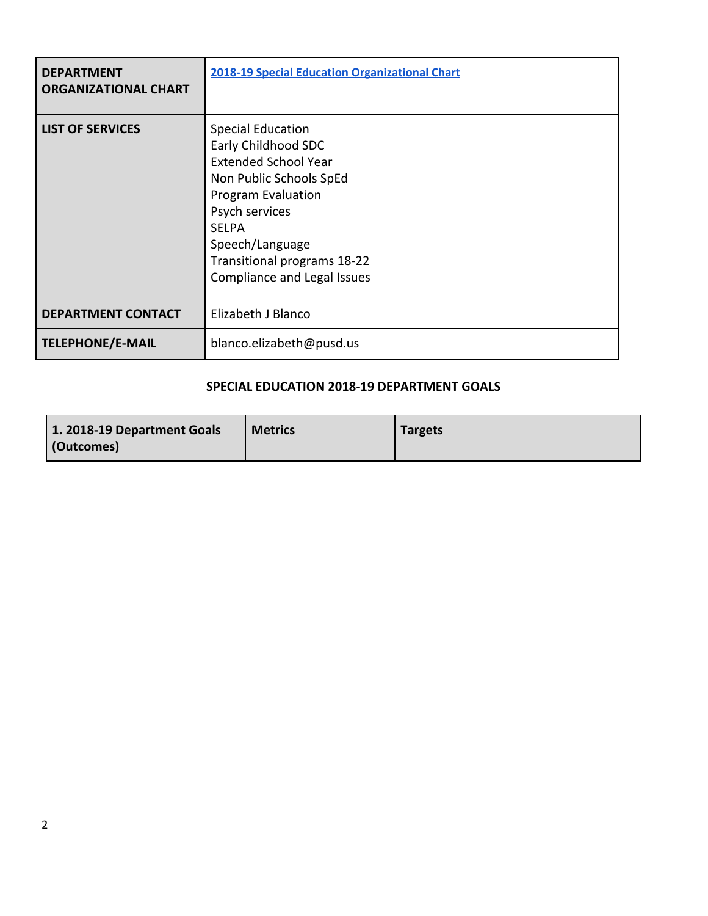| <b>DEPARTMENT</b><br><b>ORGANIZATIONAL CHART</b> | <b>2018-19 Special Education Organizational Chart</b>                                                                                                                                                                                              |
|--------------------------------------------------|----------------------------------------------------------------------------------------------------------------------------------------------------------------------------------------------------------------------------------------------------|
| <b>LIST OF SERVICES</b>                          | <b>Special Education</b><br>Early Childhood SDC<br><b>Extended School Year</b><br>Non Public Schools SpEd<br>Program Evaluation<br>Psych services<br><b>SFLPA</b><br>Speech/Language<br>Transitional programs 18-22<br>Compliance and Legal Issues |
| <b>DEPARTMENT CONTACT</b>                        | Elizabeth J Blanco                                                                                                                                                                                                                                 |
| <b>TELEPHONE/E-MAIL</b>                          | blanco.elizabeth@pusd.us                                                                                                                                                                                                                           |

#### **SPECIAL EDUCATION 2018-19 DEPARTMENT GOALS**

| 1. 2018-19 Department Goals | <b>Metrics</b> | <b>Targets</b> |
|-----------------------------|----------------|----------------|
| (Outcomes)                  |                |                |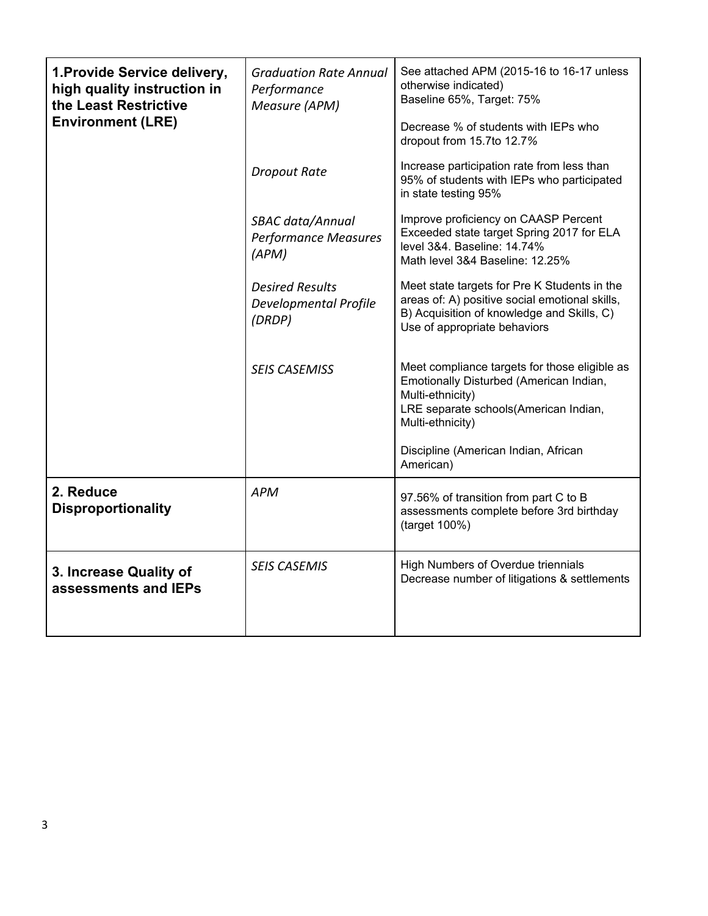| 1. Provide Service delivery,<br>high quality instruction in<br>the Least Restrictive<br><b>Environment (LRE)</b> | <b>Graduation Rate Annual</b><br>Performance<br>Measure (APM)    | See attached APM (2015-16 to 16-17 unless<br>otherwise indicated)<br>Baseline 65%, Target: 75%<br>Decrease % of students with IEPs who<br>dropout from 15.7to 12.7%          |  |
|------------------------------------------------------------------------------------------------------------------|------------------------------------------------------------------|------------------------------------------------------------------------------------------------------------------------------------------------------------------------------|--|
|                                                                                                                  | <b>Dropout Rate</b>                                              | Increase participation rate from less than<br>95% of students with IEPs who participated<br>in state testing 95%                                                             |  |
|                                                                                                                  | SBAC data/Annual<br><b>Performance Measures</b><br>(APM)         | Improve proficiency on CAASP Percent<br>Exceeded state target Spring 2017 for ELA<br>level 3&4. Baseline: 14.74%<br>Math level 3&4 Baseline: 12.25%                          |  |
|                                                                                                                  | <b>Desired Results</b><br><b>Developmental Profile</b><br>(DRDP) | Meet state targets for Pre K Students in the<br>areas of: A) positive social emotional skills,<br>B) Acquisition of knowledge and Skills, C)<br>Use of appropriate behaviors |  |
|                                                                                                                  | <b>SEIS CASEMISS</b>                                             | Meet compliance targets for those eligible as<br>Emotionally Disturbed (American Indian,<br>Multi-ethnicity)<br>LRE separate schools(American Indian,<br>Multi-ethnicity)    |  |
|                                                                                                                  |                                                                  | Discipline (American Indian, African<br>American)                                                                                                                            |  |
| 2. Reduce<br><b>Disproportionality</b>                                                                           | <b>APM</b>                                                       | 97.56% of transition from part C to B<br>assessments complete before 3rd birthday<br>(target 100%)                                                                           |  |
| 3. Increase Quality of<br>assessments and IEPs                                                                   | <b>SEIS CASEMIS</b>                                              | High Numbers of Overdue triennials<br>Decrease number of litigations & settlements                                                                                           |  |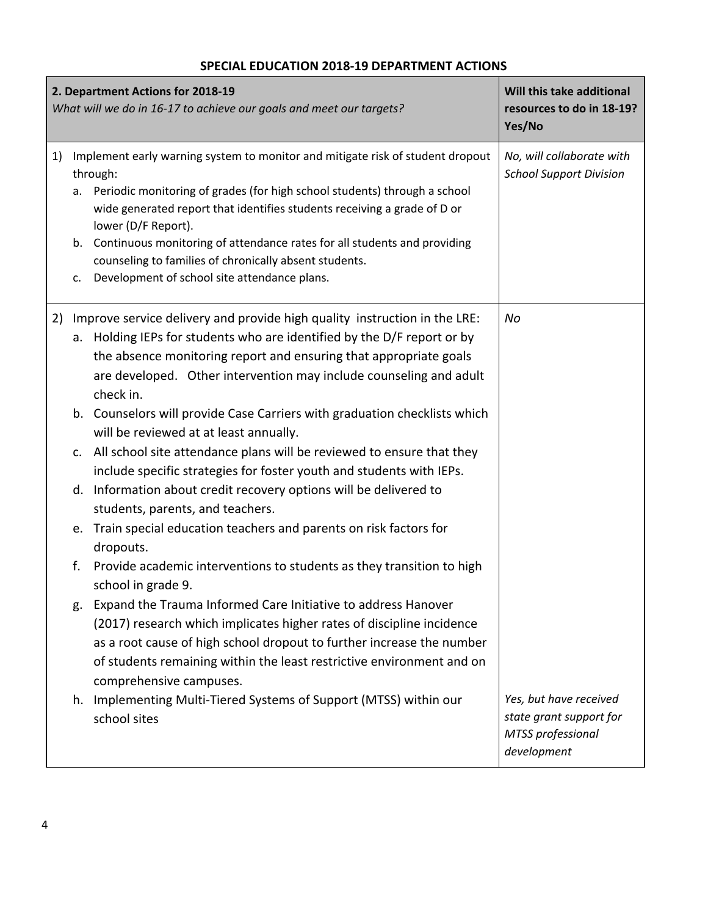### **2. Department Actions for 2018-19** *What will we do in 16-17 to achieve our goals and meet our targets?* **Will this take additional resources to do in 18-19? Yes/No** 1) Implement early warning system to monitor and mitigate risk of student dropout through: a. Periodic monitoring of grades (for high school students) through a school wide generated report that identifies students receiving a grade of D or lower (D/F Report). b. Continuous monitoring of attendance rates for all students and providing counseling to families of chronically absent students. c. Development of school site attendance plans. *No, will collaborate with School Support Division* 2) Improve service delivery and provide high quality instruction in the LRE: a. Holding IEPs for students who are identified by the D/F report or by the absence monitoring report and ensuring that appropriate goals are developed. Other intervention may include counseling and adult check in. b. Counselors will provide Case Carriers with graduation checklists which will be reviewed at at least annually. c. All school site attendance plans will be reviewed to ensure that they include specific strategies for foster youth and students with IEPs. d. Information about credit recovery options will be delivered to students, parents, and teachers. e. Train special education teachers and parents on risk factors for dropouts. f. Provide academic interventions to students as they transition to high school in grade 9. g. Expand the Trauma Informed Care Initiative to address Hanover (2017) research which implicates higher rates of discipline incidence as a root cause of high school dropout to further increase the number of students remaining within the least restrictive environment and on comprehensive campuses. h. Implementing Multi-Tiered Systems of Support (MTSS) within our school sites *No Yes, but have received state grant support for MTSS professional*

*development*

### **SPECIAL EDUCATION 2018-19 DEPARTMENT ACTIONS**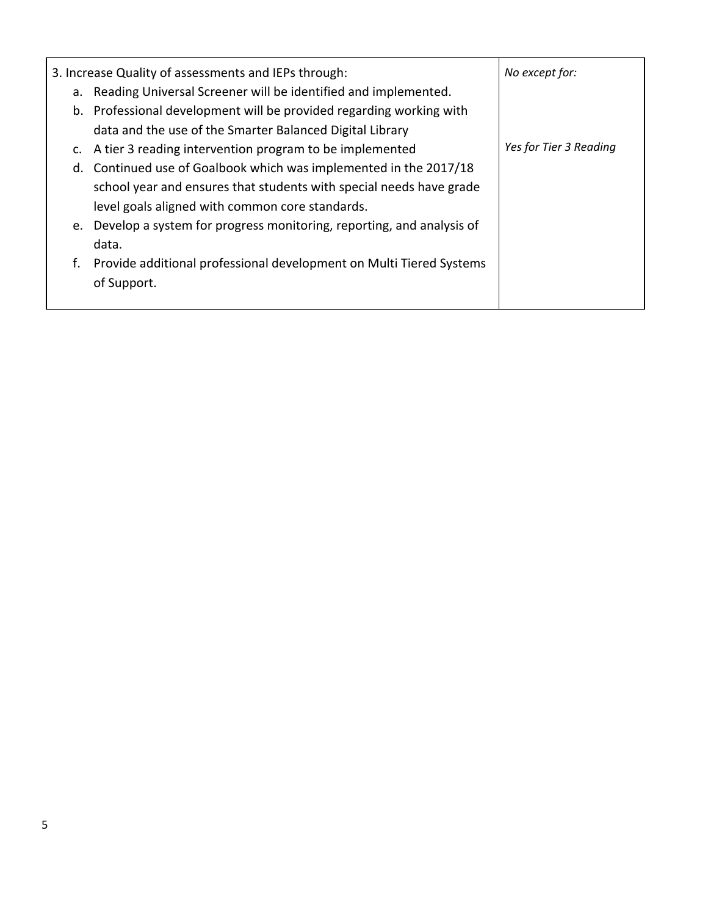|    | 3. Increase Quality of assessments and IEPs through:                    | No except for:         |
|----|-------------------------------------------------------------------------|------------------------|
|    | a. Reading Universal Screener will be identified and implemented.       |                        |
|    | b. Professional development will be provided regarding working with     |                        |
|    | data and the use of the Smarter Balanced Digital Library                |                        |
|    | c. A tier 3 reading intervention program to be implemented              | Yes for Tier 3 Reading |
|    | d. Continued use of Goalbook which was implemented in the 2017/18       |                        |
|    | school year and ensures that students with special needs have grade     |                        |
|    | level goals aligned with common core standards.                         |                        |
|    | e. Develop a system for progress monitoring, reporting, and analysis of |                        |
|    | data.                                                                   |                        |
| f. | Provide additional professional development on Multi Tiered Systems     |                        |
|    | of Support.                                                             |                        |
|    |                                                                         |                        |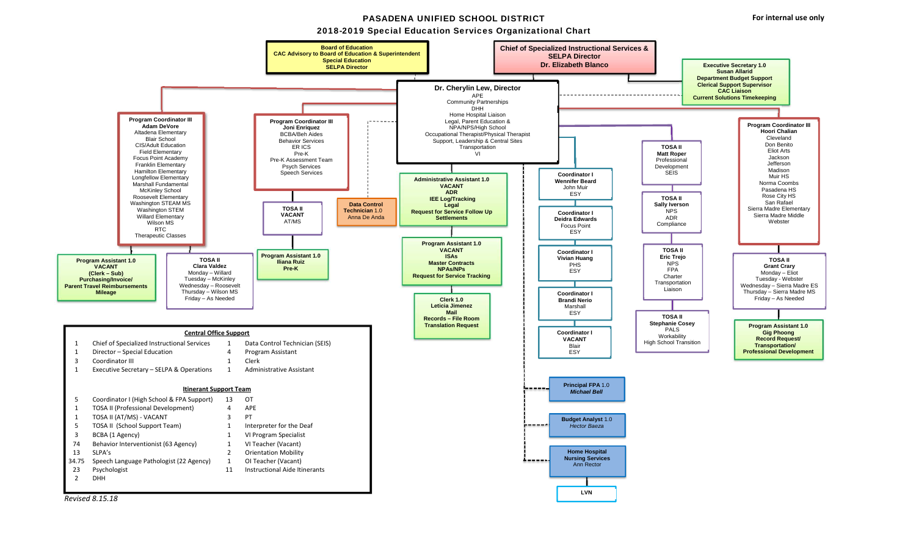#### PASADENA UNIFIED SCHOOL DISTRICT

**Board of Education CAC Advisory to Board of Education & Superintendent** 



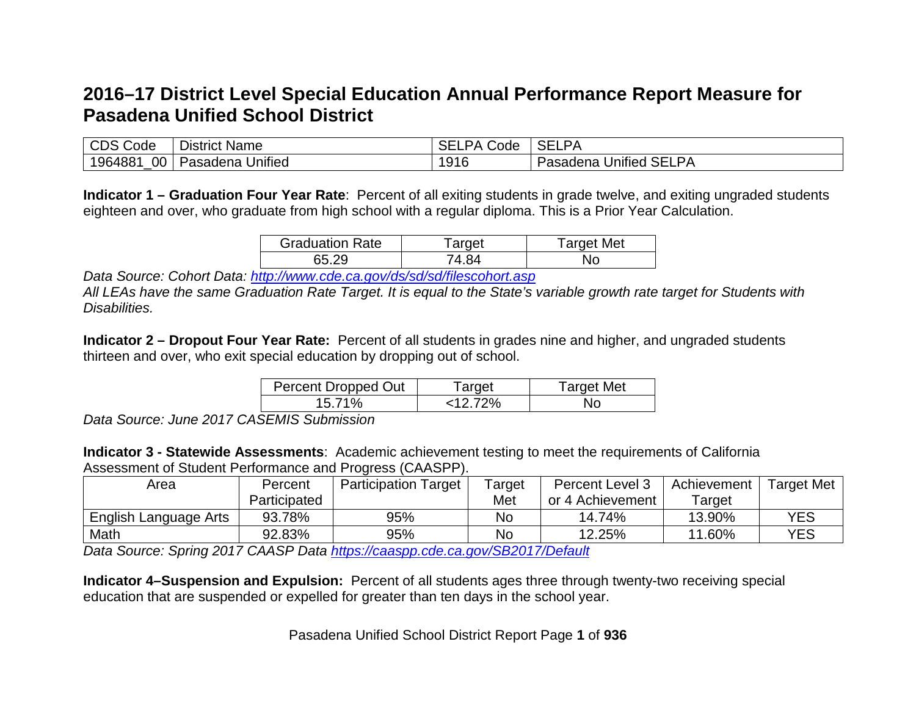# **2016–17 District Level Special Education Annual Performance Report Measure for Pasadena Unified School District**

| <b>CDS Code</b>   | District Name            | <b>SELPA</b><br>$\sim$ $\sim$<br>Code | <b>SELPA</b>                  |
|-------------------|--------------------------|---------------------------------------|-------------------------------|
| $00\,$<br>1964881 | .<br>Pasadena<br>Unified | 1916                                  | <b>Pasadena Unified SELPA</b> |

**Indicator 1 – Graduation Four Year Rate**: Percent of all exiting students in grade twelve, and exiting ungraded students eighteen and over, who graduate from high school with a regular diploma. This is a Prior Year Calculation.

| <b>Graduation Rate</b> | arget  | Target Met |
|------------------------|--------|------------|
| 65.29                  | '4 R.A | Nc         |

*Data Source: Cohort Data: <http://www.cde.ca.gov/ds/sd/sd/filescohort.asp>*

*All LEAs have the same Graduation Rate Target. It is equal to the State's variable growth rate target for Students with Disabilities.*

**Indicator 2 – Dropout Four Year Rate:** Percent of all students in grades nine and higher, and ungraded students thirteen and over, who exit special education by dropping out of school.

| Percent Dropped Out | ⊺arget     | Target Met |
|---------------------|------------|------------|
| 15.71%              | $<$ 12 72% | Nο         |

*Data Source: June 2017 CASEMIS Submission*

**Indicator 3 - Statewide Assessments**: Academic achievement testing to meet the requirements of California Assessment of Student Performance and Progress (CAASPP).

| Area                  | Percent      | <b>Participation Target</b> | arget <sup>-</sup> | <b>Percent Level 3</b> | Achievement   | <b>Target Met</b> |
|-----------------------|--------------|-----------------------------|--------------------|------------------------|---------------|-------------------|
|                       | Participated |                             | Met                | or 4 Achievement       | arget         |                   |
| English Language Arts | 93.78%       | 95%                         | Nc                 | 14.74%                 | 13.90%        | YES               |
| Math                  | 92.83%       | 95%                         | No                 | 12.25%                 | $.60\%$<br>44 | YES               |

*Data Source: Spring 2017 CAASP Data <https://caaspp.cde.ca.gov/SB2017/Default>*

**Indicator 4–Suspension and Expulsion:** Percent of all students ages three through twenty-two receiving special education that are suspended or expelled for greater than ten days in the school year.

Pasadena Unified School District Report Page **1** of **936**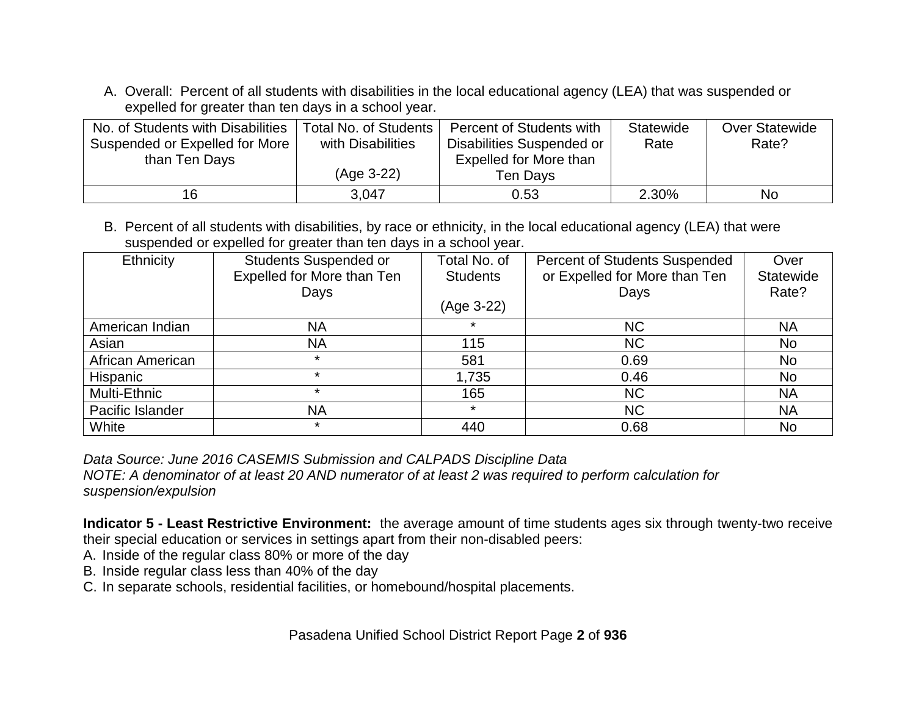A. Overall: Percent of all students with disabilities in the local educational agency (LEA) that was suspended or expelled for greater than ten days in a school year.

| No. of Students with Disabilities | Total No. of Students | Percent of Students with  | <b>Statewide</b> | <b>Over Statewide</b> |
|-----------------------------------|-----------------------|---------------------------|------------------|-----------------------|
| Suspended or Expelled for More    | with Disabilities     | Disabilities Suspended or | Rate             | Rate?                 |
| than Ten Days                     |                       | Expelled for More than    |                  |                       |
|                                   | (Age 3-22)            | Ten Days                  |                  |                       |
| 16                                | 3.047                 | 0.53                      | 2.30%            | No                    |

B. Percent of all students with disabilities, by race or ethnicity, in the local educational agency (LEA) that were suspended or expelled for greater than ten days in a school year.

| Ethnicity        | <b>Students Suspended or</b> | Total No. of    | <b>Percent of Students Suspended</b> | Over           |
|------------------|------------------------------|-----------------|--------------------------------------|----------------|
|                  | Expelled for More than Ten   | <b>Students</b> | or Expelled for More than Ten        |                |
|                  | Days                         |                 | Days                                 | Rate?          |
|                  |                              | (Age 3-22)      |                                      |                |
| American Indian  | <b>NA</b>                    |                 | <b>NC</b>                            | <b>NA</b>      |
| Asian            | <b>NA</b>                    | 115             | <b>NC</b>                            | <b>No</b>      |
| African American | $\star$                      | 581             | 0.69                                 | N <sub>o</sub> |
| <b>Hispanic</b>  | $\star$                      | 1,735           | 0.46                                 | No             |
| Multi-Ethnic     | $\star$                      | 165             | <b>NC</b>                            | <b>NA</b>      |
| Pacific Islander | <b>NA</b>                    | $\star$         | <b>NC</b>                            | <b>NA</b>      |
| White            | $\ast$                       | 440             | 0.68                                 | <b>No</b>      |

*Data Source: June 2016 CASEMIS Submission and CALPADS Discipline Data*

*NOTE: A denominator of at least 20 AND numerator of at least 2 was required to perform calculation for suspension/expulsion*

**Indicator 5 - Least Restrictive Environment:** the average amount of time students ages six through twenty-two receive their special education or services in settings apart from their non-disabled peers:

- A. Inside of the regular class 80% or more of the day
- B. Inside regular class less than 40% of the day
- C. In separate schools, residential facilities, or homebound/hospital placements.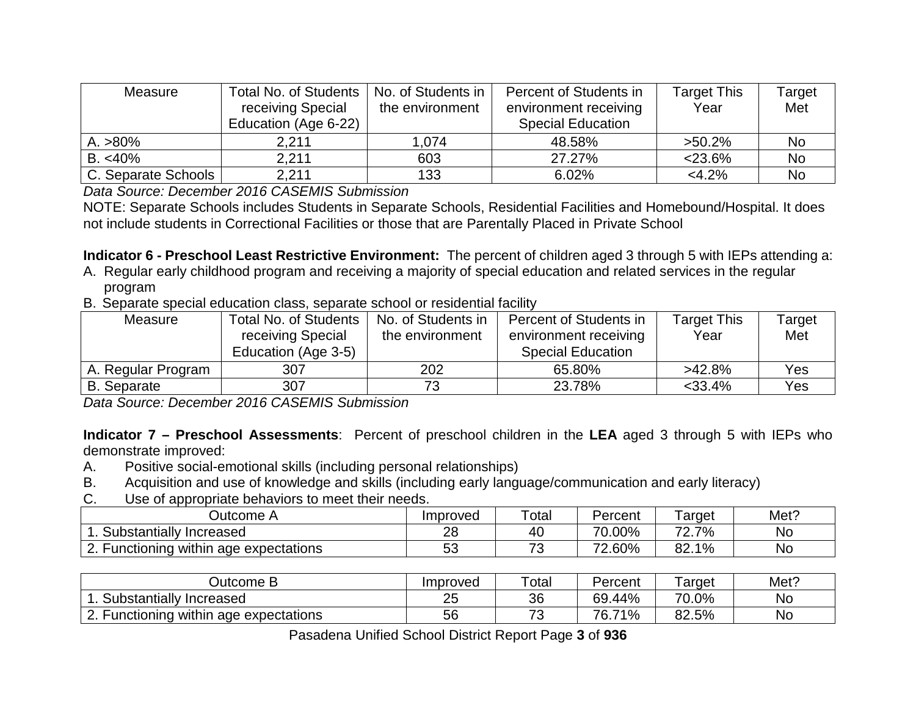| Measure             | Total No. of Students<br>receiving Special<br>Education (Age 6-22) | No. of Students in<br>the environment | Percent of Students in<br>environment receiving<br><b>Special Education</b> | <b>Target This</b><br>Year | Target<br>Met |
|---------------------|--------------------------------------------------------------------|---------------------------------------|-----------------------------------------------------------------------------|----------------------------|---------------|
| $A. > 80\%$         | 2,211                                                              | 1.074                                 | 48.58%                                                                      | $>50.2\%$                  | No            |
| $B. < 40\%$         | 2,211                                                              | 603                                   | 27.27%                                                                      | $<$ 23.6%                  | No            |
| C. Separate Schools | 2.211                                                              | 133                                   | 6.02%                                                                       | $<4.2\%$                   | No            |

*Data Source: December 2016 CASEMIS Submission*

NOTE: Separate Schools includes Students in Separate Schools, Residential Facilities and Homebound/Hospital. It does not include students in Correctional Facilities or those that are Parentally Placed in Private School

**Indicator 6 - Preschool Least Restrictive Environment:** The percent of children aged 3 through 5 with IEPs attending a:

- A. Regular early childhood program and receiving a majority of special education and related services in the regular program
- B. Separate special education class, separate school or residential facility

| Measure            | Total No. of Students | No. of Students in | Percent of Students in   | <b>Target This</b> | Target     |
|--------------------|-----------------------|--------------------|--------------------------|--------------------|------------|
|                    | receiving Special     | the environment    | environment receiving    | Year               | Met        |
|                    | Education (Age 3-5)   |                    | <b>Special Education</b> |                    |            |
| A. Regular Program | 307                   | 202                | 65.80%                   | $>42.8\%$          | <b>Yes</b> |
| <b>B.</b> Separate | 307                   | 72                 | 23.78%                   | $<$ 33.4%          | <b>Yes</b> |

*Data Source: December 2016 CASEMIS Submission* 

**Indicator 7 – Preschool Assessments**: Percent of preschool children in the **LEA** aged 3 through 5 with IEPs who demonstrate improved:

- A. Positive social-emotional skills (including personal relationships)
- B. Acquisition and use of knowledge and skills (including early language/communication and early literacy)
- C. Use of appropriate behaviors to meet their needs.

| ⊃utcome<br><b>n</b>                                  | Improved  | Total                    | Percent        | arget           | Met? |
|------------------------------------------------------|-----------|--------------------------|----------------|-----------------|------|
| Substantially<br>Increased                           | ററ<br>۷C  | 40                       | 70.00%         | ⇁⌒<br>7%        | No   |
| within<br>⌒<br>ade expectations<br>-unctionina<br>-- | - -<br>vu | $\overline{\phantom{a}}$ | $2.60\%$<br>70 | 1%<br>ററ<br>oz. | No   |

| Jutcome B                                           | Improved | $\tau$ otal                   | Percent    | arget       | Met?      |
|-----------------------------------------------------|----------|-------------------------------|------------|-------------|-----------|
| Substantially<br>Increased                          | つに<br>∠J | 36                            | 69.44%     | ⇁∩<br>70.0% | <b>No</b> |
| within<br>$\sim$<br>age expectations<br>·unctionina | 56       | $\overline{\phantom{a}}$<br>ີ | 76.<br>71% | 82.5%       | No.       |

Pasadena Unified School District Report Page **3** of **936**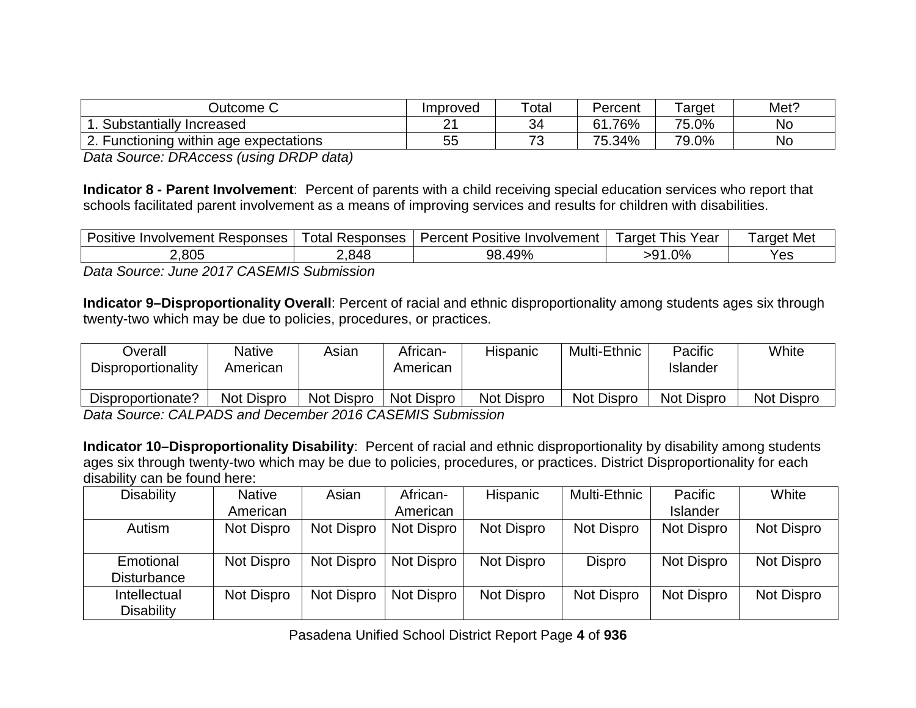| Jutcome C                                               | Improved | $\tau$ otal                   | Percent      | arget | Met? |
|---------------------------------------------------------|----------|-------------------------------|--------------|-------|------|
| Substantially<br>Increased                              | n.<br>-  | ৭∡                            | .76%<br>61   | 75.0% | No   |
| ⌒<br>i age expectations<br><b>Functioning</b><br>within | ゟゟ<br>◡◡ | $\overline{\phantom{a}}$<br>◡ | 75.34%<br>フ斥 | 79.0% | No   |

*Data Source: DRAccess (using DRDP data)*

**Indicator 8 - Parent Involvement**: Percent of parents with a child receiving special education services who report that schools facilitated parent involvement as a means of improving services and results for children with disabilities.

| -<br>Responses<br>Positive<br><b>Involvement</b> | otal<br>Responses | Percent<br>Positive.<br>volvement<br>Invo | arget<br>Year<br>his | arget Met |
|--------------------------------------------------|-------------------|-------------------------------------------|----------------------|-----------|
| 2,805                                            | .848              | 49%<br>98.                                | 2%<br>- u∽<br>. .    | Yes       |

*Data Source: June 2017 CASEMIS Submission*

**Indicator 9–Disproportionality Overall**: Percent of racial and ethnic disproportionality among students ages six through twenty-two which may be due to policies, procedures, or practices.

| Dverall<br>Disproportionality                             | Native<br>American | Asian             | African-<br>American | Hispanic          | Multi-Ethnic      | Pacific<br>Islander | White             |
|-----------------------------------------------------------|--------------------|-------------------|----------------------|-------------------|-------------------|---------------------|-------------------|
| Disproportionate?                                         | <b>Not Dispro</b>  | <b>Not Dispro</b> | Not Dispro           | <b>Not Dispro</b> | <b>Not Dispro</b> | Not Dispro          | <b>Not Dispro</b> |
| Deta Course: CALDADC and Desamber 2016 CACEMIC Cubmission |                    |                   |                      |                   |                   |                     |                   |

*Data Source: CALPADS and December 2016 CASEMIS Submission* 

**Indicator 10–Disproportionality Disability**: Percent of racial and ethnic disproportionality by disability among students ages six through twenty-two which may be due to policies, procedures, or practices. District Disproportionality for each disability can be found here:

| <b>Disability</b>                 | <b>Native</b> | Asian      | African-   | <b>Hispanic</b> | Multi-Ethnic | Pacific         | White      |
|-----------------------------------|---------------|------------|------------|-----------------|--------------|-----------------|------------|
|                                   | American      |            | American   |                 |              | <b>Islander</b> |            |
| Autism                            | Not Dispro    | Not Dispro | Not Dispro | Not Dispro      | Not Dispro   | Not Dispro      | Not Dispro |
| Emotional<br><b>Disturbance</b>   | Not Dispro    | Not Dispro | Not Dispro | Not Dispro      | Dispro       | Not Dispro      | Not Dispro |
| Intellectual<br><b>Disability</b> | Not Dispro    | Not Dispro | Not Dispro | Not Dispro      | Not Dispro   | Not Dispro      | Not Dispro |

Pasadena Unified School District Report Page **4** of **936**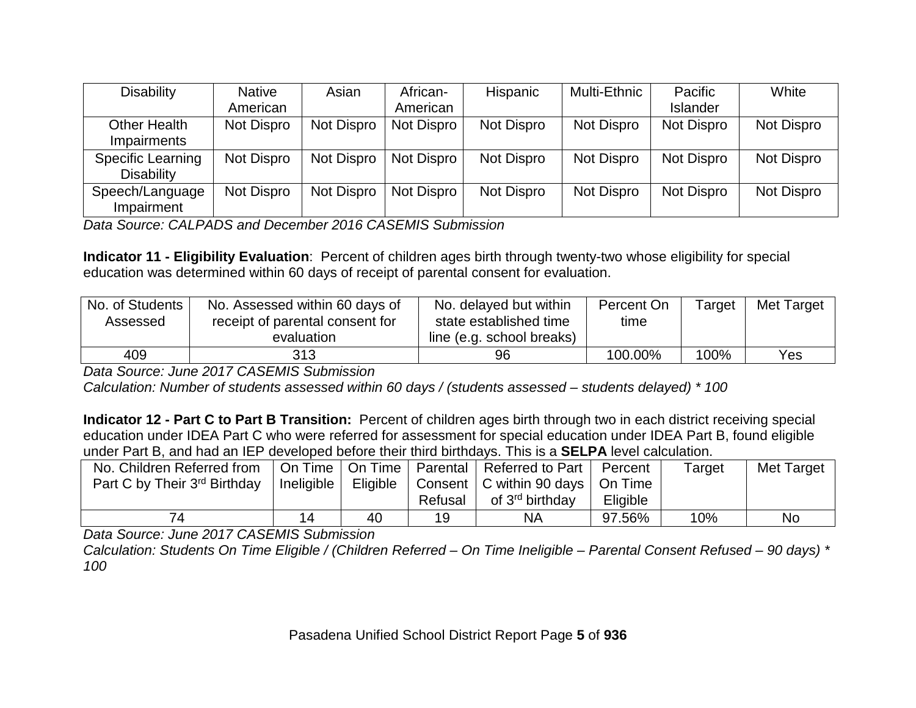| <b>Disability</b>                             | <b>Native</b>     | Asian      | African-   | <b>Hispanic</b> | Multi-Ethnic | Pacific         | White      |
|-----------------------------------------------|-------------------|------------|------------|-----------------|--------------|-----------------|------------|
|                                               | American          |            | American   |                 |              | <b>Islander</b> |            |
| Other Health<br>Impairments                   | Not Dispro        | Not Dispro | Not Dispro | Not Dispro      | Not Dispro   | Not Dispro      | Not Dispro |
| <b>Specific Learning</b><br><b>Disability</b> | Not Dispro        | Not Dispro | Not Dispro | Not Dispro      | Not Dispro   | Not Dispro      | Not Dispro |
| Speech/Language<br>Impairment                 | <b>Not Dispro</b> | Not Dispro | Not Dispro | Not Dispro      | Not Dispro   | Not Dispro      | Not Dispro |

*Data Source: CALPADS and December 2016 CASEMIS Submission*

**Indicator 11 - Eligibility Evaluation**: Percent of children ages birth through twenty-two whose eligibility for special education was determined within 60 days of receipt of parental consent for evaluation.

| No. of Students<br>Assessed | No. Assessed within 60 days of<br>receipt of parental consent for<br>evaluation | No. delayed but within<br>state established time<br>line (e.g. school breaks) | Percent On<br>time | $Ta$ rget | <b>Met Target</b> |
|-----------------------------|---------------------------------------------------------------------------------|-------------------------------------------------------------------------------|--------------------|-----------|-------------------|
| 409                         | 313                                                                             | 96                                                                            | 100.00%            | 100%      | <b>Yes</b>        |

*Data Source: June 2017 CASEMIS Submission* 

*Calculation: Number of students assessed within 60 days / (students assessed – students delayed) \* 100*

**Indicator 12 - Part C to Part B Transition:** Percent of children ages birth through two in each district receiving special education under IDEA Part C who were referred for assessment for special education under IDEA Part B, found eligible under Part B, and had an IEP developed before their third birthdays. This is a **SELPA** level calculation.

| No. Children Referred from<br>Part C by Their 3 <sup>rd</sup> Birthday | On Time   On Time  <br>Ineligible | Eligible | Parental  <br>Refusal | Referred to Part<br>Consent   C within 90 days   On Time<br>of 3 <sup>rd</sup> birthday | Percent<br>Eligible | Target | Met Target |
|------------------------------------------------------------------------|-----------------------------------|----------|-----------------------|-----------------------------------------------------------------------------------------|---------------------|--------|------------|
|                                                                        | 14                                | 40       | 19                    | <b>NA</b>                                                                               | 97.56%              | 10%    | No         |

*Data Source: June 2017 CASEMIS Submission* 

*Calculation: Students On Time Eligible / (Children Referred – On Time Ineligible – Parental Consent Refused – 90 days) \* 100*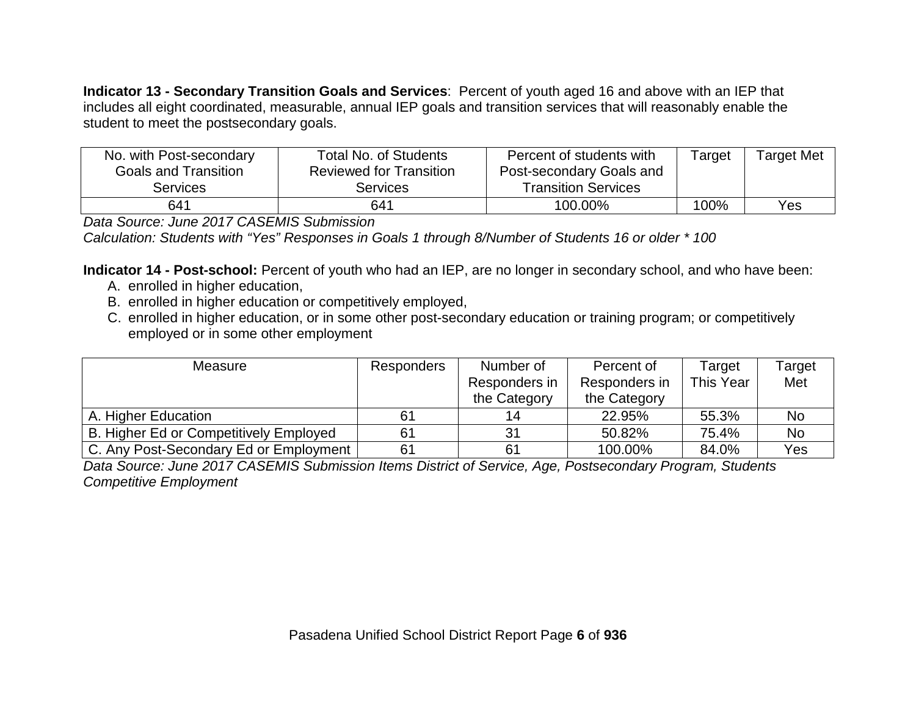**Indicator 13 - Secondary Transition Goals and Services**:Percent of youth aged 16 and above with an IEP that includes all eight coordinated, measurable, annual IEP goals and transition services that will reasonably enable the student to meet the postsecondary goals.

| No. with Post-secondary<br><b>Goals and Transition</b><br><b>Services</b> | Total No. of Students<br><b>Reviewed for Transition</b><br>Services | Percent of students with<br>Post-secondary Goals and<br><b>Transition Services</b> | Target | <b>Target Met</b> |
|---------------------------------------------------------------------------|---------------------------------------------------------------------|------------------------------------------------------------------------------------|--------|-------------------|
| 641                                                                       | 641                                                                 | 100.00%                                                                            | 100%   | Yes               |

*Data Source: June 2017 CASEMIS Submission*

*Calculation: Students with "Yes" Responses in Goals 1 through 8/Number of Students 16 or older \* 100*

**Indicator 14 - Post-school:** Percent of youth who had an IEP, are no longer in secondary school, and who have been:

- A. enrolled in higher education,
- B. enrolled in higher education or competitively employed,
- C. enrolled in higher education, or in some other post-secondary education or training program; or competitively employed or in some other employment

| Measure                                | <b>Responders</b> | Number of     | Percent of    | Target    | Target |
|----------------------------------------|-------------------|---------------|---------------|-----------|--------|
|                                        |                   | Responders in | Responders in | This Year | Met    |
|                                        |                   | the Category  | the Category  |           |        |
| A. Higher Education                    | 61                | 14            | 22.95%        | 55.3%     | No     |
| B. Higher Ed or Competitively Employed | 61                | 31            | 50.82%        | 75.4%     | No     |
| C. Any Post-Secondary Ed or Employment | 61                | 61            | 100.00%       | 84.0%     | Yes    |

*Data Source: June 2017 CASEMIS Submission Items District of Service, Age, Postsecondary Program, Students Competitive Employment*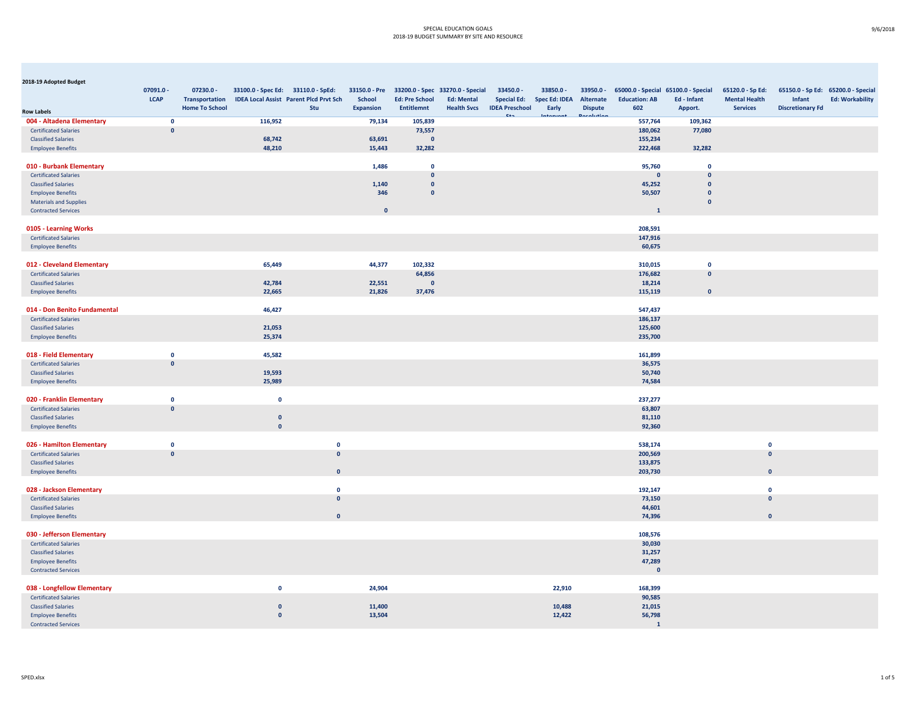| 2018-19 Adopted Budget        |              |                       |                                    |                                               |                  |                         |                                                |                       |                      |                |                                     |              |                      |                                    |                        |
|-------------------------------|--------------|-----------------------|------------------------------------|-----------------------------------------------|------------------|-------------------------|------------------------------------------------|-----------------------|----------------------|----------------|-------------------------------------|--------------|----------------------|------------------------------------|------------------------|
|                               | 07091.0 -    | 07230.0 -             | 33100.0 - Spec Ed: 33110.0 - SpEd: |                                               |                  |                         | 33150.0 - Pre 33200.0 - Spec 33270.0 - Special | 33450.0 -             | 33850.0 -            | 33950.0 -      | 65000.0 - Special 65100.0 - Special |              | 65120.0 - Sp Ed:     | 65150.0 - Sp Ed: 65200.0 - Special |                        |
|                               | <b>LCAP</b>  | <b>Transportation</b> |                                    | <b>IDEA Local Assist Parent Plcd Prvt Sch</b> | <b>School</b>    | <b>Ed: Pre School</b>   | <b>Ed: Mental</b>                              | <b>Special Ed:</b>    | <b>Spec Ed: IDEA</b> | Alternate      | <b>Education: AB</b>                | Ed - Infant  | <b>Mental Health</b> | Infant                             | <b>Ed: Workability</b> |
| <b>Row Labels</b>             |              | <b>Home To School</b> |                                    | Stu                                           | <b>Expansion</b> | <b>Entitlemnt</b>       | <b>Health Svcs</b>                             | <b>IDEA Preschool</b> | Early                | <b>Dispute</b> | 602                                 | Apport.      | <b>Services</b>      | <b>Discretionary Fd</b>            |                        |
| 004 - Altadena Elementary     | $\mathbf{0}$ |                       | 116,952                            |                                               | 79,134           | 105,839                 |                                                |                       |                      |                | 557,764                             | 109,362      |                      |                                    |                        |
| <b>Certificated Salaries</b>  | $\mathbf{0}$ |                       |                                    |                                               |                  | 73,557                  |                                                |                       |                      |                | 180,062                             | 77,080       |                      |                                    |                        |
| <b>Classified Salaries</b>    |              |                       | 68,742                             |                                               | 63,691           | $\overline{\mathbf{0}}$ |                                                |                       |                      |                | 155,234                             |              |                      |                                    |                        |
| <b>Employee Benefits</b>      |              |                       | 48,210                             |                                               | 15,443           | 32,282                  |                                                |                       |                      |                | 222,468                             | 32,282       |                      |                                    |                        |
|                               |              |                       |                                    |                                               |                  |                         |                                                |                       |                      |                |                                     |              |                      |                                    |                        |
| 010 - Burbank Elementary      |              |                       |                                    |                                               | 1,486            | $\mathbf 0$             |                                                |                       |                      |                | 95,760                              | $\mathbf{0}$ |                      |                                    |                        |
| <b>Certificated Salaries</b>  |              |                       |                                    |                                               |                  | $\mathbf{0}$            |                                                |                       |                      |                | $\mathbf{0}$                        | $\mathbf{0}$ |                      |                                    |                        |
| <b>Classified Salaries</b>    |              |                       |                                    |                                               | 1,140            | $\mathbf{0}$            |                                                |                       |                      |                | 45,252                              | $\Omega$     |                      |                                    |                        |
| <b>Employee Benefits</b>      |              |                       |                                    |                                               | 346              | $\mathbf{0}$            |                                                |                       |                      |                | 50,507                              | $\mathbf{0}$ |                      |                                    |                        |
| <b>Materials and Supplies</b> |              |                       |                                    |                                               |                  |                         |                                                |                       |                      |                |                                     | $\mathbf{0}$ |                      |                                    |                        |
| <b>Contracted Services</b>    |              |                       |                                    |                                               | $\Omega$         |                         |                                                |                       |                      |                | $\mathbf{1}$                        |              |                      |                                    |                        |
|                               |              |                       |                                    |                                               |                  |                         |                                                |                       |                      |                |                                     |              |                      |                                    |                        |
| 0105 - Learning Works         |              |                       |                                    |                                               |                  |                         |                                                |                       |                      |                | 208,591                             |              |                      |                                    |                        |
| <b>Certificated Salaries</b>  |              |                       |                                    |                                               |                  |                         |                                                |                       |                      |                | 147,916                             |              |                      |                                    |                        |
| <b>Employee Benefits</b>      |              |                       |                                    |                                               |                  |                         |                                                |                       |                      |                | 60,675                              |              |                      |                                    |                        |
|                               |              |                       |                                    |                                               |                  |                         |                                                |                       |                      |                |                                     |              |                      |                                    |                        |
| 012 - Cleveland Elementary    |              |                       | 65,449                             |                                               | 44,377           | 102,332                 |                                                |                       |                      |                | 310,015                             | $\mathbf{0}$ |                      |                                    |                        |
| <b>Certificated Salaries</b>  |              |                       |                                    |                                               |                  | 64,856                  |                                                |                       |                      |                | 176,682                             | $\Omega$     |                      |                                    |                        |
| <b>Classified Salaries</b>    |              |                       | 42,784                             |                                               | 22,551           | $\mathbf{0}$            |                                                |                       |                      |                | 18,214                              |              |                      |                                    |                        |
| <b>Employee Benefits</b>      |              |                       | 22,665                             |                                               | 21,826           | 37,476                  |                                                |                       |                      |                | 115,119                             | $\Omega$     |                      |                                    |                        |
|                               |              |                       |                                    |                                               |                  |                         |                                                |                       |                      |                |                                     |              |                      |                                    |                        |
| 014 - Don Benito Fundamental  |              |                       | 46,427                             |                                               |                  |                         |                                                |                       |                      |                | 547,437                             |              |                      |                                    |                        |
| <b>Certificated Salaries</b>  |              |                       |                                    |                                               |                  |                         |                                                |                       |                      |                | 186,137                             |              |                      |                                    |                        |
| <b>Classified Salaries</b>    |              |                       | 21,053                             |                                               |                  |                         |                                                |                       |                      |                | 125,600                             |              |                      |                                    |                        |
| <b>Employee Benefits</b>      |              |                       | 25,374                             |                                               |                  |                         |                                                |                       |                      |                | 235,700                             |              |                      |                                    |                        |
|                               |              |                       |                                    |                                               |                  |                         |                                                |                       |                      |                |                                     |              |                      |                                    |                        |
| 018 - Field Elementary        | $\mathbf{0}$ |                       | 45,582                             |                                               |                  |                         |                                                |                       |                      |                | 161,899                             |              |                      |                                    |                        |
| <b>Certificated Salaries</b>  | $\mathbf{0}$ |                       |                                    |                                               |                  |                         |                                                |                       |                      |                | 36,575                              |              |                      |                                    |                        |
| <b>Classified Salaries</b>    |              |                       | 19,593                             |                                               |                  |                         |                                                |                       |                      |                | 50,740                              |              |                      |                                    |                        |
| <b>Employee Benefits</b>      |              |                       | 25,989                             |                                               |                  |                         |                                                |                       |                      |                | 74,584                              |              |                      |                                    |                        |
|                               |              |                       |                                    |                                               |                  |                         |                                                |                       |                      |                |                                     |              |                      |                                    |                        |
| 020 - Franklin Elementary     | $\mathbf{0}$ |                       | $\mathbf 0$                        |                                               |                  |                         |                                                |                       |                      |                | 237,277                             |              |                      |                                    |                        |
| <b>Certificated Salaries</b>  | $\mathbf{0}$ |                       |                                    |                                               |                  |                         |                                                |                       |                      |                | 63,807                              |              |                      |                                    |                        |
| <b>Classified Salaries</b>    |              |                       | $\mathbf{0}$                       |                                               |                  |                         |                                                |                       |                      |                | 81,110                              |              |                      |                                    |                        |
| <b>Employee Benefits</b>      |              |                       | $\mathbf{0}$                       |                                               |                  |                         |                                                |                       |                      |                | 92,360                              |              |                      |                                    |                        |
|                               |              |                       |                                    |                                               |                  |                         |                                                |                       |                      |                |                                     |              |                      |                                    |                        |
| 026 - Hamilton Elementary     | $\mathbf{0}$ |                       |                                    | $\mathbf{0}$                                  |                  |                         |                                                |                       |                      |                | 538,174                             |              | $\mathbf{0}$         |                                    |                        |
| <b>Certificated Salaries</b>  | $\mathbf{0}$ |                       |                                    | $\mathbf{0}$                                  |                  |                         |                                                |                       |                      |                | 200,569                             |              | $\mathbf{0}$         |                                    |                        |
| <b>Classified Salaries</b>    |              |                       |                                    |                                               |                  |                         |                                                |                       |                      |                | 133,875                             |              |                      |                                    |                        |
| <b>Employee Benefits</b>      |              |                       |                                    | $\mathbf{0}$                                  |                  |                         |                                                |                       |                      |                | 203,730                             |              | $\mathbf{0}$         |                                    |                        |
|                               |              |                       |                                    |                                               |                  |                         |                                                |                       |                      |                |                                     |              |                      |                                    |                        |
| 028 - Jackson Elementary      |              |                       |                                    | $\mathbf 0$                                   |                  |                         |                                                |                       |                      |                | 192,147                             |              | $\mathbf 0$          |                                    |                        |
| <b>Certificated Salaries</b>  |              |                       |                                    | $\mathbf{0}$                                  |                  |                         |                                                |                       |                      |                | 73,150                              |              | $\mathbf{0}$         |                                    |                        |
| <b>Classified Salaries</b>    |              |                       |                                    |                                               |                  |                         |                                                |                       |                      |                | 44,601                              |              |                      |                                    |                        |
| <b>Employee Benefits</b>      |              |                       |                                    | $\mathbf{0}$                                  |                  |                         |                                                |                       |                      |                | 74,396                              |              | $\mathbf{0}$         |                                    |                        |
|                               |              |                       |                                    |                                               |                  |                         |                                                |                       |                      |                |                                     |              |                      |                                    |                        |
| 030 - Jefferson Elementary    |              |                       |                                    |                                               |                  |                         |                                                |                       |                      |                | 108,576                             |              |                      |                                    |                        |
| <b>Certificated Salaries</b>  |              |                       |                                    |                                               |                  |                         |                                                |                       |                      |                | 30,030                              |              |                      |                                    |                        |
| <b>Classified Salaries</b>    |              |                       |                                    |                                               |                  |                         |                                                |                       |                      |                | 31,257                              |              |                      |                                    |                        |
| <b>Employee Benefits</b>      |              |                       |                                    |                                               |                  |                         |                                                |                       |                      |                | 47,289                              |              |                      |                                    |                        |
| <b>Contracted Services</b>    |              |                       |                                    |                                               |                  |                         |                                                |                       |                      |                | $\mathbf{0}$                        |              |                      |                                    |                        |
|                               |              |                       |                                    |                                               |                  |                         |                                                |                       |                      |                |                                     |              |                      |                                    |                        |
| 038 - Longfellow Elementary   |              |                       | $\mathbf 0$                        |                                               | 24,904           |                         |                                                |                       | 22,910               |                | 168,399                             |              |                      |                                    |                        |
| <b>Certificated Salaries</b>  |              |                       |                                    |                                               |                  |                         |                                                |                       |                      |                | 90,585                              |              |                      |                                    |                        |
| <b>Classified Salaries</b>    |              |                       | $\mathbf{0}$<br>$\mathbf 0$        |                                               | 11,400<br>13,504 |                         |                                                |                       | 10,488<br>12,422     |                | 21,015                              |              |                      |                                    |                        |
| <b>Employee Benefits</b>      |              |                       |                                    |                                               |                  |                         |                                                |                       |                      |                | 56,798<br>$\mathbf{1}$              |              |                      |                                    |                        |
| <b>Contracted Services</b>    |              |                       |                                    |                                               |                  |                         |                                                |                       |                      |                |                                     |              |                      |                                    |                        |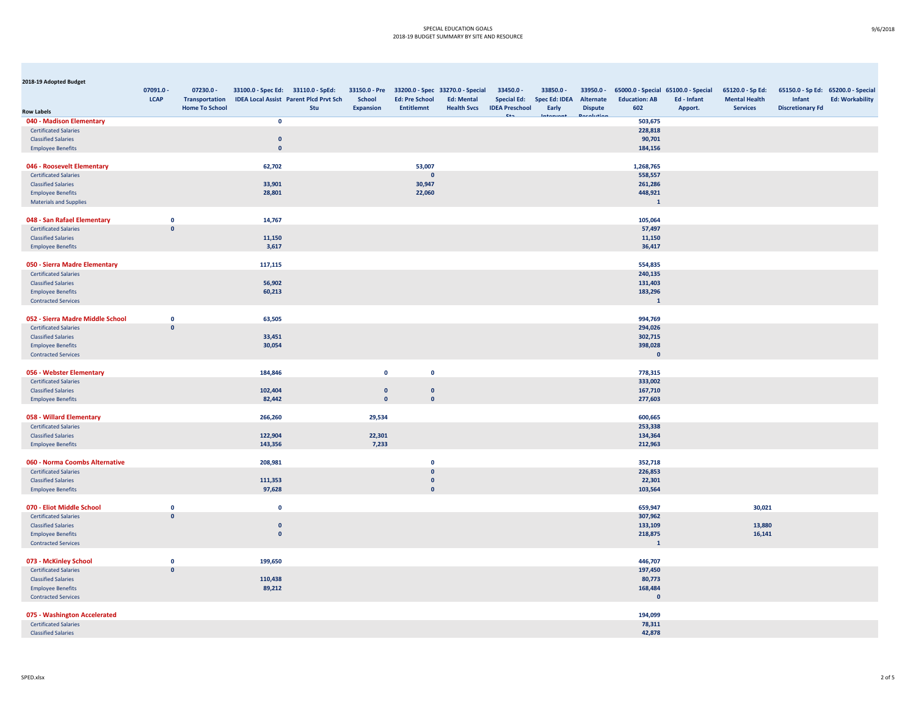| 2018-19 Adopted Budget                                      |                             |                       |                                    |                                               |                    |                       |                                                |                       |                      |                |                                     |             |                      |                         |                                    |
|-------------------------------------------------------------|-----------------------------|-----------------------|------------------------------------|-----------------------------------------------|--------------------|-----------------------|------------------------------------------------|-----------------------|----------------------|----------------|-------------------------------------|-------------|----------------------|-------------------------|------------------------------------|
|                                                             | 07091.0 -                   | $07230.0 -$           | 33100.0 - Spec Ed: 33110.0 - SpEd: |                                               |                    |                       | 33150.0 - Pre 33200.0 - Spec 33270.0 - Special | 33450.0 -             | 33850.0 -            | $33950.0 -$    | 65000.0 - Special 65100.0 - Special |             | 65120.0 - Sp Ed:     |                         | 65150.0 - Sp Ed: 65200.0 - Special |
|                                                             | <b>LCAP</b>                 | <b>Transportation</b> |                                    | <b>IDEA Local Assist Parent Plcd Prvt Sch</b> | <b>School</b>      | <b>Ed: Pre School</b> | <b>Ed: Mental</b>                              | <b>Special Ed:</b>    | <b>Spec Ed: IDEA</b> | Alternate      | <b>Education: AB</b>                | Ed - Infant | <b>Mental Health</b> | Infant                  | <b>Ed: Workability</b>             |
| <b>Row Labels</b>                                           |                             | <b>Home To School</b> |                                    | Stu                                           | <b>Expansion</b>   | <b>Entitlemnt</b>     | <b>Health Svcs</b>                             | <b>IDEA Preschool</b> | Early                | <b>Dispute</b> | 602                                 | Apport.     | <b>Services</b>      | <b>Discretionary Fd</b> |                                    |
| 040 - Madison Elementary                                    |                             |                       | $\mathbf 0$                        |                                               |                    |                       |                                                |                       |                      |                | 503,675                             |             |                      |                         |                                    |
| <b>Certificated Salaries</b>                                |                             |                       |                                    |                                               |                    |                       |                                                |                       |                      |                | 228,818                             |             |                      |                         |                                    |
| <b>Classified Salaries</b>                                  |                             |                       | $\mathbf{0}$                       |                                               |                    |                       |                                                |                       |                      |                | 90,701                              |             |                      |                         |                                    |
| <b>Employee Benefits</b>                                    |                             |                       | $\mathbf{0}$                       |                                               |                    |                       |                                                |                       |                      |                | 184,156                             |             |                      |                         |                                    |
| 046 - Roosevelt Elementary                                  |                             |                       | 62,702                             |                                               |                    | 53,007                |                                                |                       |                      |                | 1,268,765                           |             |                      |                         |                                    |
| <b>Certificated Salaries</b>                                |                             |                       |                                    |                                               |                    | $\Omega$              |                                                |                       |                      |                | 558,557                             |             |                      |                         |                                    |
| <b>Classified Salaries</b>                                  |                             |                       | 33,901                             |                                               |                    | 30,947                |                                                |                       |                      |                | 261,286                             |             |                      |                         |                                    |
| <b>Employee Benefits</b>                                    |                             |                       | 28,801                             |                                               |                    | 22,060                |                                                |                       |                      |                | 448,921                             |             |                      |                         |                                    |
| <b>Materials and Supplies</b>                               |                             |                       |                                    |                                               |                    |                       |                                                |                       |                      |                | $\mathbf{1}$                        |             |                      |                         |                                    |
|                                                             |                             |                       |                                    |                                               |                    |                       |                                                |                       |                      |                |                                     |             |                      |                         |                                    |
| 048 - San Rafael Elementary<br><b>Certificated Salaries</b> | $\mathbf 0$<br>$\mathbf{0}$ |                       | 14,767                             |                                               |                    |                       |                                                |                       |                      |                | 105,064<br>57,497                   |             |                      |                         |                                    |
| <b>Classified Salaries</b>                                  |                             |                       | 11,150                             |                                               |                    |                       |                                                |                       |                      |                | 11,150                              |             |                      |                         |                                    |
| <b>Employee Benefits</b>                                    |                             |                       | 3,617                              |                                               |                    |                       |                                                |                       |                      |                | 36,417                              |             |                      |                         |                                    |
|                                                             |                             |                       |                                    |                                               |                    |                       |                                                |                       |                      |                |                                     |             |                      |                         |                                    |
| 050 - Sierra Madre Elementary                               |                             |                       | 117,115                            |                                               |                    |                       |                                                |                       |                      |                | 554,835                             |             |                      |                         |                                    |
| <b>Certificated Salaries</b>                                |                             |                       |                                    |                                               |                    |                       |                                                |                       |                      |                | 240,135                             |             |                      |                         |                                    |
| <b>Classified Salaries</b>                                  |                             |                       | 56,902                             |                                               |                    |                       |                                                |                       |                      |                | 131,403                             |             |                      |                         |                                    |
| <b>Employee Benefits</b>                                    |                             |                       | 60,213                             |                                               |                    |                       |                                                |                       |                      |                | 183,296                             |             |                      |                         |                                    |
| <b>Contracted Services</b>                                  |                             |                       |                                    |                                               |                    |                       |                                                |                       |                      |                | $\mathbf{1}$                        |             |                      |                         |                                    |
| 052 - Sierra Madre Middle School                            | $\mathbf 0$                 |                       | 63,505                             |                                               |                    |                       |                                                |                       |                      |                | 994,769                             |             |                      |                         |                                    |
| <b>Certificated Salaries</b>                                | $\mathbf{0}$                |                       |                                    |                                               |                    |                       |                                                |                       |                      |                | 294,026                             |             |                      |                         |                                    |
| <b>Classified Salaries</b>                                  |                             |                       | 33,451                             |                                               |                    |                       |                                                |                       |                      |                | 302,715                             |             |                      |                         |                                    |
| <b>Employee Benefits</b>                                    |                             |                       | 30,054                             |                                               |                    |                       |                                                |                       |                      |                | 398,028                             |             |                      |                         |                                    |
| <b>Contracted Services</b>                                  |                             |                       |                                    |                                               |                    |                       |                                                |                       |                      |                | $\mathbf{0}$                        |             |                      |                         |                                    |
|                                                             |                             |                       |                                    |                                               |                    |                       |                                                |                       |                      |                |                                     |             |                      |                         |                                    |
| 056 - Webster Elementary                                    |                             |                       | 184,846                            |                                               | $\mathbf 0$        | $\mathbf 0$           |                                                |                       |                      |                | 778,315                             |             |                      |                         |                                    |
| <b>Certificated Salaries</b><br><b>Classified Salaries</b>  |                             |                       | 102,404                            |                                               | $\pmb{\mathsf{o}}$ | $\mathbf{0}$          |                                                |                       |                      |                | 333,002<br>167,710                  |             |                      |                         |                                    |
| <b>Employee Benefits</b>                                    |                             |                       | 82,442                             |                                               | $\mathbf{0}$       | $\mathbf{0}$          |                                                |                       |                      |                | 277,603                             |             |                      |                         |                                    |
|                                                             |                             |                       |                                    |                                               |                    |                       |                                                |                       |                      |                |                                     |             |                      |                         |                                    |
| 058 - Willard Elementary                                    |                             |                       | 266,260                            |                                               | 29,534             |                       |                                                |                       |                      |                | 600,665                             |             |                      |                         |                                    |
| <b>Certificated Salaries</b>                                |                             |                       |                                    |                                               |                    |                       |                                                |                       |                      |                | 253,338                             |             |                      |                         |                                    |
| <b>Classified Salaries</b>                                  |                             |                       | 122,904                            |                                               | 22,301             |                       |                                                |                       |                      |                | 134,364                             |             |                      |                         |                                    |
| <b>Employee Benefits</b>                                    |                             |                       | 143,356                            |                                               | 7,233              |                       |                                                |                       |                      |                | 212,963                             |             |                      |                         |                                    |
| 060 - Norma Coombs Alternative                              |                             |                       | 208,981                            |                                               |                    | $\mathbf 0$           |                                                |                       |                      |                | 352,718                             |             |                      |                         |                                    |
| <b>Certificated Salaries</b>                                |                             |                       |                                    |                                               |                    | $\mathbf{0}$          |                                                |                       |                      |                | 226,853                             |             |                      |                         |                                    |
| <b>Classified Salaries</b>                                  |                             |                       | 111,353                            |                                               |                    | $\mathbf{0}$          |                                                |                       |                      |                | 22,301                              |             |                      |                         |                                    |
| <b>Employee Benefits</b>                                    |                             |                       | 97,628                             |                                               |                    | $\mathbf{0}$          |                                                |                       |                      |                | 103,564                             |             |                      |                         |                                    |
|                                                             |                             |                       |                                    |                                               |                    |                       |                                                |                       |                      |                |                                     |             |                      |                         |                                    |
| 070 - Eliot Middle School                                   | $\mathbf 0$<br>$\mathbf{0}$ |                       | $\mathbf 0$                        |                                               |                    |                       |                                                |                       |                      |                | 659,947                             |             | 30,021               |                         |                                    |
| <b>Certificated Salaries</b><br><b>Classified Salaries</b>  |                             |                       | $\mathbf{0}$                       |                                               |                    |                       |                                                |                       |                      |                | 307,962<br>133,109                  |             | 13,880               |                         |                                    |
| <b>Employee Benefits</b>                                    |                             |                       | $\mathbf{0}$                       |                                               |                    |                       |                                                |                       |                      |                | 218,875                             |             | 16,141               |                         |                                    |
| <b>Contracted Services</b>                                  |                             |                       |                                    |                                               |                    |                       |                                                |                       |                      |                | $\mathbf{1}$                        |             |                      |                         |                                    |
|                                                             |                             |                       |                                    |                                               |                    |                       |                                                |                       |                      |                |                                     |             |                      |                         |                                    |
| 073 - McKinley School                                       | $\mathbf 0$                 |                       | 199,650                            |                                               |                    |                       |                                                |                       |                      |                | 446,707                             |             |                      |                         |                                    |
| <b>Certificated Salaries</b>                                | $\mathbf{0}$                |                       |                                    |                                               |                    |                       |                                                |                       |                      |                | 197,450                             |             |                      |                         |                                    |
| <b>Classified Salaries</b>                                  |                             |                       | 110,438                            |                                               |                    |                       |                                                |                       |                      |                | 80,773                              |             |                      |                         |                                    |
| <b>Employee Benefits</b>                                    |                             |                       | 89,212                             |                                               |                    |                       |                                                |                       |                      |                | 168,484                             |             |                      |                         |                                    |
| <b>Contracted Services</b>                                  |                             |                       |                                    |                                               |                    |                       |                                                |                       |                      |                | $\mathbf{0}$                        |             |                      |                         |                                    |
| 075 - Washington Accelerated                                |                             |                       |                                    |                                               |                    |                       |                                                |                       |                      |                | 194,099                             |             |                      |                         |                                    |
| <b>Certificated Salaries</b>                                |                             |                       |                                    |                                               |                    |                       |                                                |                       |                      |                | 78,311                              |             |                      |                         |                                    |
| <b>Classified Salaries</b>                                  |                             |                       |                                    |                                               |                    |                       |                                                |                       |                      |                | 42.878                              |             |                      |                         |                                    |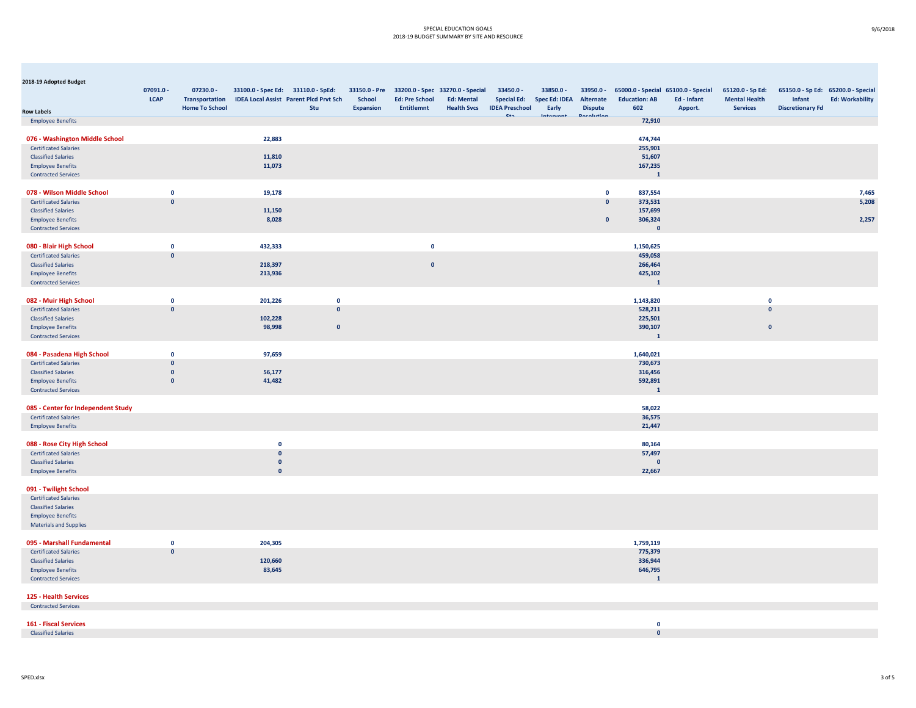| 2018-19 Adopted Budget                                             |                             |                                      |                                    |                                               |                  |                       |                                                                     |                                 |                                   |                                     |                         |                                                    |                                          |                         |                                                              |
|--------------------------------------------------------------------|-----------------------------|--------------------------------------|------------------------------------|-----------------------------------------------|------------------|-----------------------|---------------------------------------------------------------------|---------------------------------|-----------------------------------|-------------------------------------|-------------------------|----------------------------------------------------|------------------------------------------|-------------------------|--------------------------------------------------------------|
|                                                                    | 07091.0 -<br><b>LCAP</b>    | $07230.0 -$<br><b>Transportation</b> | 33100.0 - Spec Ed: 33110.0 - SpEd: | <b>IDEA Local Assist Parent Plcd Prvt Sch</b> | <b>School</b>    | <b>Ed: Pre School</b> | 33150.0 - Pre 33200.0 - Spec 33270.0 - Special<br><b>Ed: Mental</b> | 33450.0 -<br><b>Special Ed:</b> | 33850.0 -<br><b>Spec Ed: IDEA</b> | 33950.0 -<br>Alternate              | <b>Education: AB</b>    | 65000.0 - Special 65100.0 - Special<br>Ed - Infant | 65120.0 - Sp Ed:<br><b>Mental Health</b> | Infant                  | 65150.0 - Sp Ed: 65200.0 - Special<br><b>Ed: Workability</b> |
| <b>Row Labels</b>                                                  |                             | <b>Home To School</b>                |                                    | Stu                                           | <b>Expansion</b> | <b>Entitlemnt</b>     | <b>Health Svcs</b>                                                  | <b>IDEA Preschool</b><br>ca.    | Early<br>بالمستحدث والمنازل       | <b>Dispute</b><br><b>Desalution</b> | 602                     | Apport.                                            | <b>Services</b>                          | <b>Discretionary Fd</b> |                                                              |
| <b>Employee Benefits</b>                                           |                             |                                      |                                    |                                               |                  |                       |                                                                     |                                 |                                   |                                     | 72,910                  |                                                    |                                          |                         |                                                              |
| 076 - Washington Middle School                                     |                             |                                      | 22,883                             |                                               |                  |                       |                                                                     |                                 |                                   |                                     | 474,744                 |                                                    |                                          |                         |                                                              |
| <b>Certificated Salaries</b>                                       |                             |                                      |                                    |                                               |                  |                       |                                                                     |                                 |                                   |                                     | 255,901                 |                                                    |                                          |                         |                                                              |
| <b>Classified Salaries</b>                                         |                             |                                      | 11,810                             |                                               |                  |                       |                                                                     |                                 |                                   |                                     | 51,607                  |                                                    |                                          |                         |                                                              |
| <b>Employee Benefits</b>                                           |                             |                                      | 11,073                             |                                               |                  |                       |                                                                     |                                 |                                   |                                     | 167,235                 |                                                    |                                          |                         |                                                              |
| <b>Contracted Services</b>                                         |                             |                                      |                                    |                                               |                  |                       |                                                                     |                                 |                                   |                                     | $\overline{1}$          |                                                    |                                          |                         |                                                              |
|                                                                    |                             |                                      |                                    |                                               |                  |                       |                                                                     |                                 |                                   |                                     |                         |                                                    |                                          |                         |                                                              |
| 078 - Wilson Middle School                                         | $\mathbf 0$<br>$\mathbf{0}$ |                                      | 19,178                             |                                               |                  |                       |                                                                     |                                 |                                   | $\mathbf 0$<br>$\pmb{0}$            | 837,554<br>373,531      |                                                    |                                          |                         | 7,465<br>5,208                                               |
| <b>Certificated Salaries</b><br><b>Classified Salaries</b>         |                             |                                      | 11,150                             |                                               |                  |                       |                                                                     |                                 |                                   |                                     | 157,699                 |                                                    |                                          |                         |                                                              |
| <b>Employee Benefits</b>                                           |                             |                                      | 8,028                              |                                               |                  |                       |                                                                     |                                 |                                   | $\pmb{0}$                           | 306,324                 |                                                    |                                          |                         | 2,257                                                        |
| <b>Contracted Services</b>                                         |                             |                                      |                                    |                                               |                  |                       |                                                                     |                                 |                                   |                                     | $\mathbf{0}$            |                                                    |                                          |                         |                                                              |
|                                                                    |                             |                                      |                                    |                                               |                  |                       |                                                                     |                                 |                                   |                                     |                         |                                                    |                                          |                         |                                                              |
| 080 - Blair High School                                            | $\mathbf 0$                 |                                      | 432,333                            |                                               |                  | $\mathbf 0$           |                                                                     |                                 |                                   |                                     | 1,150,625               |                                                    |                                          |                         |                                                              |
| <b>Certificated Salaries</b>                                       | $\mathbf{0}$                |                                      |                                    |                                               |                  |                       |                                                                     |                                 |                                   |                                     | 459,058                 |                                                    |                                          |                         |                                                              |
| <b>Classified Salaries</b>                                         |                             |                                      | 218,397                            |                                               |                  | $\mathbf{0}$          |                                                                     |                                 |                                   |                                     | 266,464                 |                                                    |                                          |                         |                                                              |
| <b>Employee Benefits</b>                                           |                             |                                      | 213,936                            |                                               |                  |                       |                                                                     |                                 |                                   |                                     | 425,102<br>$\mathbf{1}$ |                                                    |                                          |                         |                                                              |
| <b>Contracted Services</b>                                         |                             |                                      |                                    |                                               |                  |                       |                                                                     |                                 |                                   |                                     |                         |                                                    |                                          |                         |                                                              |
| 082 - Muir High School                                             | $\mathbf 0$                 |                                      | 201,226                            | $\mathbf 0$                                   |                  |                       |                                                                     |                                 |                                   |                                     | 1,143,820               |                                                    | $\mathbf 0$                              |                         |                                                              |
| <b>Certificated Salaries</b>                                       | $\mathbf{0}$                |                                      |                                    | $\mathbf{0}$                                  |                  |                       |                                                                     |                                 |                                   |                                     | 528,211                 |                                                    | $\mathbf{0}$                             |                         |                                                              |
| <b>Classified Salaries</b>                                         |                             |                                      | 102,228                            |                                               |                  |                       |                                                                     |                                 |                                   |                                     | 225,501                 |                                                    |                                          |                         |                                                              |
| <b>Employee Benefits</b>                                           |                             |                                      | 98,998                             | $\mathbf 0$                                   |                  |                       |                                                                     |                                 |                                   |                                     | 390,107                 |                                                    | $\mathbf 0$                              |                         |                                                              |
| <b>Contracted Services</b>                                         |                             |                                      |                                    |                                               |                  |                       |                                                                     |                                 |                                   |                                     | $\mathbf{1}$            |                                                    |                                          |                         |                                                              |
| 084 - Pasadena High School                                         | $\mathbf 0$                 |                                      | 97,659                             |                                               |                  |                       |                                                                     |                                 |                                   |                                     | 1,640,021               |                                                    |                                          |                         |                                                              |
| <b>Certificated Salaries</b>                                       | $\mathbf{0}$                |                                      |                                    |                                               |                  |                       |                                                                     |                                 |                                   |                                     | 730,673                 |                                                    |                                          |                         |                                                              |
| <b>Classified Salaries</b>                                         | $\mathbf{0}$                |                                      | 56,177                             |                                               |                  |                       |                                                                     |                                 |                                   |                                     | 316,456                 |                                                    |                                          |                         |                                                              |
| <b>Employee Benefits</b>                                           | $\mathbf{0}$                |                                      | 41,482                             |                                               |                  |                       |                                                                     |                                 |                                   |                                     | 592,891                 |                                                    |                                          |                         |                                                              |
| <b>Contracted Services</b>                                         |                             |                                      |                                    |                                               |                  |                       |                                                                     |                                 |                                   |                                     | $\mathbf{1}$            |                                                    |                                          |                         |                                                              |
|                                                                    |                             |                                      |                                    |                                               |                  |                       |                                                                     |                                 |                                   |                                     |                         |                                                    |                                          |                         |                                                              |
| 085 - Center for Independent Study<br><b>Certificated Salaries</b> |                             |                                      |                                    |                                               |                  |                       |                                                                     |                                 |                                   |                                     | 58,022<br>36,575        |                                                    |                                          |                         |                                                              |
| <b>Employee Benefits</b>                                           |                             |                                      |                                    |                                               |                  |                       |                                                                     |                                 |                                   |                                     | 21,447                  |                                                    |                                          |                         |                                                              |
|                                                                    |                             |                                      |                                    |                                               |                  |                       |                                                                     |                                 |                                   |                                     |                         |                                                    |                                          |                         |                                                              |
| 088 - Rose City High School                                        |                             |                                      | $\mathbf 0$                        |                                               |                  |                       |                                                                     |                                 |                                   |                                     | 80,164                  |                                                    |                                          |                         |                                                              |
| <b>Certificated Salaries</b>                                       |                             |                                      | $\mathbf 0$                        |                                               |                  |                       |                                                                     |                                 |                                   |                                     | 57,497                  |                                                    |                                          |                         |                                                              |
| <b>Classified Salaries</b>                                         |                             |                                      | $\pmb{\mathsf{o}}$                 |                                               |                  |                       |                                                                     |                                 |                                   |                                     | $\mathbf 0$             |                                                    |                                          |                         |                                                              |
| <b>Employee Benefits</b>                                           |                             |                                      | $\mathbf{0}$                       |                                               |                  |                       |                                                                     |                                 |                                   |                                     | 22,667                  |                                                    |                                          |                         |                                                              |
| 091 - Twilight School                                              |                             |                                      |                                    |                                               |                  |                       |                                                                     |                                 |                                   |                                     |                         |                                                    |                                          |                         |                                                              |
| <b>Certificated Salaries</b>                                       |                             |                                      |                                    |                                               |                  |                       |                                                                     |                                 |                                   |                                     |                         |                                                    |                                          |                         |                                                              |
| <b>Classified Salaries</b>                                         |                             |                                      |                                    |                                               |                  |                       |                                                                     |                                 |                                   |                                     |                         |                                                    |                                          |                         |                                                              |
| <b>Employee Benefits</b>                                           |                             |                                      |                                    |                                               |                  |                       |                                                                     |                                 |                                   |                                     |                         |                                                    |                                          |                         |                                                              |
| <b>Materials and Supplies</b>                                      |                             |                                      |                                    |                                               |                  |                       |                                                                     |                                 |                                   |                                     |                         |                                                    |                                          |                         |                                                              |
| 095 - Marshall Fundamental                                         | $\mathbf 0$                 |                                      | 204,305                            |                                               |                  |                       |                                                                     |                                 |                                   |                                     | 1,759,119               |                                                    |                                          |                         |                                                              |
| <b>Certificated Salaries</b>                                       | $\mathbf{0}$                |                                      |                                    |                                               |                  |                       |                                                                     |                                 |                                   |                                     | 775,379                 |                                                    |                                          |                         |                                                              |
| <b>Classified Salaries</b>                                         |                             |                                      | 120,660                            |                                               |                  |                       |                                                                     |                                 |                                   |                                     | 336,944                 |                                                    |                                          |                         |                                                              |
| <b>Employee Benefits</b>                                           |                             |                                      | 83,645                             |                                               |                  |                       |                                                                     |                                 |                                   |                                     | 646,795                 |                                                    |                                          |                         |                                                              |
| <b>Contracted Services</b>                                         |                             |                                      |                                    |                                               |                  |                       |                                                                     |                                 |                                   |                                     | $\mathbf{1}$            |                                                    |                                          |                         |                                                              |
|                                                                    |                             |                                      |                                    |                                               |                  |                       |                                                                     |                                 |                                   |                                     |                         |                                                    |                                          |                         |                                                              |
| 125 - Health Services<br><b>Contracted Services</b>                |                             |                                      |                                    |                                               |                  |                       |                                                                     |                                 |                                   |                                     |                         |                                                    |                                          |                         |                                                              |
|                                                                    |                             |                                      |                                    |                                               |                  |                       |                                                                     |                                 |                                   |                                     |                         |                                                    |                                          |                         |                                                              |
| 161 - Fiscal Services                                              |                             |                                      |                                    |                                               |                  |                       |                                                                     |                                 |                                   |                                     | $\mathbf 0$             |                                                    |                                          |                         |                                                              |
| <b>Classified Salaries</b>                                         |                             |                                      |                                    |                                               |                  |                       |                                                                     |                                 |                                   |                                     | $\mathbf{0}$            |                                                    |                                          |                         |                                                              |

SPED.xlsx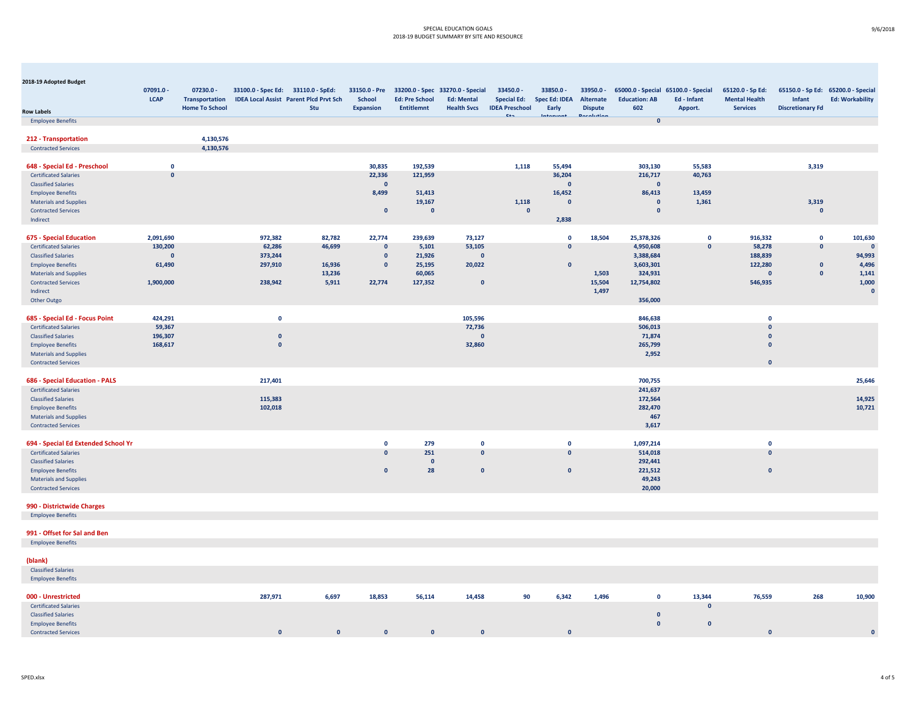| 2018-19 Adopted Budget                                    |                          |                                                               |                                    |                                                      |                                   |                                            |                                                                                           |                                                          |                                            |                                          |                             |                                                               |                                                             |                                   |                                                              |
|-----------------------------------------------------------|--------------------------|---------------------------------------------------------------|------------------------------------|------------------------------------------------------|-----------------------------------|--------------------------------------------|-------------------------------------------------------------------------------------------|----------------------------------------------------------|--------------------------------------------|------------------------------------------|-----------------------------|---------------------------------------------------------------|-------------------------------------------------------------|-----------------------------------|--------------------------------------------------------------|
|                                                           | 07091.0 -<br><b>LCAP</b> | $07230.0 -$<br><b>Transportation</b><br><b>Home To School</b> | 33100.0 - Spec Ed: 33110.0 - SpEd: | <b>IDEA Local Assist Parent Plcd Prvt Sch</b><br>Stu | <b>School</b><br><b>Expansion</b> | <b>Ed: Pre School</b><br><b>Entitlemnt</b> | 33150.0 - Pre 33200.0 - Spec 33270.0 - Special<br><b>Ed: Mental</b><br><b>Health Svcs</b> | 33450.0 -<br><b>Special Ed:</b><br><b>IDEA Preschool</b> | 33850.0 -<br><b>Spec Ed: IDEA</b><br>Early | 33950.0 -<br>Alternate<br><b>Dispute</b> | <b>Education: AB</b><br>602 | 65000.0 - Special 65100.0 - Special<br>Ed - Infant<br>Apport. | 65120.0 - Sp Ed:<br><b>Mental Health</b><br><b>Services</b> | Infant<br><b>Discretionary Fd</b> | 65150.0 - Sp Ed: 65200.0 - Special<br><b>Ed: Workability</b> |
| <b>Row Labels</b>                                         |                          |                                                               |                                    |                                                      |                                   |                                            |                                                                                           | ca.                                                      | فسميسم فببا                                | <b>Dennishing</b>                        |                             |                                                               |                                                             |                                   |                                                              |
| <b>Employee Benefits</b>                                  |                          |                                                               |                                    |                                                      |                                   |                                            |                                                                                           |                                                          |                                            |                                          | $\mathbf{0}$                |                                                               |                                                             |                                   |                                                              |
| 212 - Transportation                                      |                          | 4,130,576                                                     |                                    |                                                      |                                   |                                            |                                                                                           |                                                          |                                            |                                          |                             |                                                               |                                                             |                                   |                                                              |
| <b>Contracted Services</b>                                |                          | 4,130,576                                                     |                                    |                                                      |                                   |                                            |                                                                                           |                                                          |                                            |                                          |                             |                                                               |                                                             |                                   |                                                              |
|                                                           |                          |                                                               |                                    |                                                      |                                   |                                            |                                                                                           |                                                          |                                            |                                          |                             |                                                               |                                                             |                                   |                                                              |
| 648 - Special Ed - Preschool                              | $\mathbf 0$              |                                                               |                                    |                                                      | 30,835                            | 192,539                                    |                                                                                           | 1,118                                                    | 55,494                                     |                                          | 303,130                     | 55,583                                                        |                                                             | 3,319                             |                                                              |
| <b>Certificated Salaries</b>                              | $\mathbf{0}$             |                                                               |                                    |                                                      | 22,336                            | 121,959                                    |                                                                                           |                                                          | 36,204                                     |                                          | 216,717                     | 40,763                                                        |                                                             |                                   |                                                              |
| <b>Classified Salaries</b>                                |                          |                                                               |                                    |                                                      | $\mathbf{0}$                      |                                            |                                                                                           |                                                          | $\mathbf{0}$                               |                                          | $\mathbf{0}$                |                                                               |                                                             |                                   |                                                              |
| <b>Employee Benefits</b>                                  |                          |                                                               |                                    |                                                      | 8,499                             | 51,413                                     |                                                                                           |                                                          | 16,452                                     |                                          | 86,413                      | 13,459                                                        |                                                             |                                   |                                                              |
| <b>Materials and Supplies</b>                             |                          |                                                               |                                    |                                                      |                                   | 19,167                                     |                                                                                           | 1,118                                                    | $\mathbf{0}$                               |                                          | $\mathbf{0}$                | 1,361                                                         |                                                             | 3,319                             |                                                              |
| <b>Contracted Services</b>                                |                          |                                                               |                                    |                                                      | $\mathbf{0}$                      | $\mathbf 0$                                |                                                                                           | $\mathbf{0}$                                             |                                            |                                          | $\mathbf{0}$                |                                                               |                                                             | $\mathbf{0}$                      |                                                              |
| Indirect                                                  |                          |                                                               |                                    |                                                      |                                   |                                            |                                                                                           |                                                          | 2,838                                      |                                          |                             |                                                               |                                                             |                                   |                                                              |
|                                                           |                          |                                                               |                                    |                                                      |                                   |                                            |                                                                                           |                                                          |                                            |                                          |                             |                                                               |                                                             |                                   |                                                              |
| <b>675 - Special Education</b>                            | 2,091,690                |                                                               | 972,382                            | 82,782                                               | 22,774                            | 239,639                                    | 73,127                                                                                    |                                                          | $\mathbf 0$                                | 18,504                                   | 25,378,326                  | $\mathbf 0$                                                   | 916,332                                                     | $\mathbf 0$                       | 101,630                                                      |
| <b>Certificated Salaries</b>                              | 130,200                  |                                                               | 62,286                             | 46,699                                               | $\mathbf{0}$                      | 5,101                                      | 53,105                                                                                    |                                                          | $\Omega$                                   |                                          | 4,950,608                   | $\mathbf{0}$                                                  | 58,278                                                      | $\Omega$                          | $\mathbf{0}$                                                 |
| <b>Classified Salaries</b>                                | $\mathbf{0}$             |                                                               | 373,244                            |                                                      | $\mathbf{0}$                      | 21,926                                     | $\mathbf{0}$                                                                              |                                                          |                                            |                                          | 3,388,684                   |                                                               | 188,839                                                     |                                   | 94,993                                                       |
| <b>Employee Benefits</b>                                  | 61,490                   |                                                               | 297,910                            | 16,936                                               | $\mathbf{0}$                      | 25,195                                     | 20,022                                                                                    |                                                          | $\mathbf{0}$                               |                                          | 3,603,301                   |                                                               | 122,280                                                     | $\mathbf{0}$                      | 4,496                                                        |
| <b>Materials and Supplies</b>                             |                          |                                                               |                                    | 13,236                                               |                                   | 60,065                                     |                                                                                           |                                                          |                                            | 1,503                                    | 324,931                     |                                                               | $\mathbf{0}$                                                | $\mathbf{0}$                      | 1,141                                                        |
| <b>Contracted Services</b>                                | 1,900,000                |                                                               | 238,942                            | 5,911                                                | 22,774                            | 127,352                                    | $\mathbf{0}$                                                                              |                                                          |                                            | 15,504                                   | 12,754,802                  |                                                               | 546,935                                                     |                                   | 1,000                                                        |
| Indirect                                                  |                          |                                                               |                                    |                                                      |                                   |                                            |                                                                                           |                                                          |                                            | 1,497                                    |                             |                                                               |                                                             |                                   | $\mathbf{0}$                                                 |
| Other Outgo                                               |                          |                                                               |                                    |                                                      |                                   |                                            |                                                                                           |                                                          |                                            |                                          | 356,000                     |                                                               |                                                             |                                   |                                                              |
|                                                           |                          |                                                               |                                    |                                                      |                                   |                                            |                                                                                           |                                                          |                                            |                                          |                             |                                                               |                                                             |                                   |                                                              |
| 685 - Special Ed - Focus Point                            | 424,291                  |                                                               | $\mathbf{0}$                       |                                                      |                                   |                                            | 105,596                                                                                   |                                                          |                                            |                                          | 846,638                     |                                                               | $\mathbf{0}$                                                |                                   |                                                              |
| <b>Certificated Salaries</b>                              | 59,367<br>196,307        |                                                               | $\mathbf{0}$                       |                                                      |                                   |                                            | 72,736<br>$\mathbf{0}$                                                                    |                                                          |                                            |                                          | 506,013<br>71,874           |                                                               | $\Omega$<br>$\mathbf{0}$                                    |                                   |                                                              |
| <b>Classified Salaries</b>                                | 168,617                  |                                                               | $\pmb{\mathsf{o}}$                 |                                                      |                                   |                                            | 32,860                                                                                    |                                                          |                                            |                                          | 265,799                     |                                                               | $\mathbf{0}$                                                |                                   |                                                              |
| <b>Employee Benefits</b><br><b>Materials and Supplies</b> |                          |                                                               |                                    |                                                      |                                   |                                            |                                                                                           |                                                          |                                            |                                          | 2,952                       |                                                               |                                                             |                                   |                                                              |
| <b>Contracted Services</b>                                |                          |                                                               |                                    |                                                      |                                   |                                            |                                                                                           |                                                          |                                            |                                          |                             |                                                               | $\mathbf{0}$                                                |                                   |                                                              |
|                                                           |                          |                                                               |                                    |                                                      |                                   |                                            |                                                                                           |                                                          |                                            |                                          |                             |                                                               |                                                             |                                   |                                                              |
| 686 - Special Education - PALS                            |                          |                                                               | 217,401                            |                                                      |                                   |                                            |                                                                                           |                                                          |                                            |                                          | 700,755                     |                                                               |                                                             |                                   | 25,646                                                       |
| <b>Certificated Salaries</b>                              |                          |                                                               |                                    |                                                      |                                   |                                            |                                                                                           |                                                          |                                            |                                          | 241,637                     |                                                               |                                                             |                                   |                                                              |
| <b>Classified Salaries</b>                                |                          |                                                               | 115,383                            |                                                      |                                   |                                            |                                                                                           |                                                          |                                            |                                          | 172,564                     |                                                               |                                                             |                                   | 14,925                                                       |
| <b>Employee Benefits</b>                                  |                          |                                                               | 102,018                            |                                                      |                                   |                                            |                                                                                           |                                                          |                                            |                                          | 282,470                     |                                                               |                                                             |                                   | 10,721                                                       |
| <b>Materials and Supplies</b>                             |                          |                                                               |                                    |                                                      |                                   |                                            |                                                                                           |                                                          |                                            |                                          | 467                         |                                                               |                                                             |                                   |                                                              |
| <b>Contracted Services</b>                                |                          |                                                               |                                    |                                                      |                                   |                                            |                                                                                           |                                                          |                                            |                                          | 3,617                       |                                                               |                                                             |                                   |                                                              |
|                                                           |                          |                                                               |                                    |                                                      |                                   |                                            |                                                                                           |                                                          |                                            |                                          |                             |                                                               |                                                             |                                   |                                                              |
| 694 - Special Ed Extended School Yr                       |                          |                                                               |                                    |                                                      | $\mathbf{0}$                      | 279                                        | $\mathbf{0}$                                                                              |                                                          | $\mathbf{o}$                               |                                          | 1,097,214                   |                                                               | $\mathbf 0$                                                 |                                   |                                                              |
| <b>Certificated Salaries</b>                              |                          |                                                               |                                    |                                                      | $\Omega$                          | 251                                        | $\mathbf{0}$                                                                              |                                                          | $\Omega$                                   |                                          | 514,018                     |                                                               | $\mathbf{0}$                                                |                                   |                                                              |
| <b>Classified Salaries</b>                                |                          |                                                               |                                    |                                                      |                                   | $\Omega$                                   |                                                                                           |                                                          |                                            |                                          | 292,441                     |                                                               |                                                             |                                   |                                                              |
| <b>Employee Benefits</b>                                  |                          |                                                               |                                    |                                                      | $\mathbf{0}$                      | 28                                         | $\mathbf{0}$                                                                              |                                                          | $\mathbf{0}$                               |                                          | 221,512                     |                                                               | $\mathbf{0}$                                                |                                   |                                                              |
| <b>Materials and Supplies</b>                             |                          |                                                               |                                    |                                                      |                                   |                                            |                                                                                           |                                                          |                                            |                                          | 49,243                      |                                                               |                                                             |                                   |                                                              |
| <b>Contracted Services</b>                                |                          |                                                               |                                    |                                                      |                                   |                                            |                                                                                           |                                                          |                                            |                                          | 20,000                      |                                                               |                                                             |                                   |                                                              |
|                                                           |                          |                                                               |                                    |                                                      |                                   |                                            |                                                                                           |                                                          |                                            |                                          |                             |                                                               |                                                             |                                   |                                                              |
| 990 - Districtwide Charges                                |                          |                                                               |                                    |                                                      |                                   |                                            |                                                                                           |                                                          |                                            |                                          |                             |                                                               |                                                             |                                   |                                                              |
| <b>Employee Benefits</b>                                  |                          |                                                               |                                    |                                                      |                                   |                                            |                                                                                           |                                                          |                                            |                                          |                             |                                                               |                                                             |                                   |                                                              |
| 991 - Offset for Sal and Ben                              |                          |                                                               |                                    |                                                      |                                   |                                            |                                                                                           |                                                          |                                            |                                          |                             |                                                               |                                                             |                                   |                                                              |
| <b>Employee Benefits</b>                                  |                          |                                                               |                                    |                                                      |                                   |                                            |                                                                                           |                                                          |                                            |                                          |                             |                                                               |                                                             |                                   |                                                              |
|                                                           |                          |                                                               |                                    |                                                      |                                   |                                            |                                                                                           |                                                          |                                            |                                          |                             |                                                               |                                                             |                                   |                                                              |
| (blank)                                                   |                          |                                                               |                                    |                                                      |                                   |                                            |                                                                                           |                                                          |                                            |                                          |                             |                                                               |                                                             |                                   |                                                              |
| <b>Classified Salaries</b>                                |                          |                                                               |                                    |                                                      |                                   |                                            |                                                                                           |                                                          |                                            |                                          |                             |                                                               |                                                             |                                   |                                                              |
| <b>Employee Benefits</b>                                  |                          |                                                               |                                    |                                                      |                                   |                                            |                                                                                           |                                                          |                                            |                                          |                             |                                                               |                                                             |                                   |                                                              |
|                                                           |                          |                                                               |                                    |                                                      |                                   |                                            |                                                                                           |                                                          |                                            |                                          |                             |                                                               |                                                             |                                   |                                                              |
| 000 - Unrestricted                                        |                          |                                                               | 287,971                            | 6,697                                                | 18,853                            | 56,114                                     | 14,458                                                                                    | 90                                                       | 6,342                                      | 1,496                                    | $\mathbf 0$                 | 13,344                                                        | 76,559                                                      | 268                               | 10,900                                                       |
| <b>Certificated Salaries</b>                              |                          |                                                               |                                    |                                                      |                                   |                                            |                                                                                           |                                                          |                                            |                                          |                             | $\mathbf{0}$                                                  |                                                             |                                   |                                                              |
| <b>Classified Salaries</b>                                |                          |                                                               |                                    |                                                      |                                   |                                            |                                                                                           |                                                          |                                            |                                          | $\mathbf{0}$                |                                                               |                                                             |                                   |                                                              |
| <b>Employee Benefits</b>                                  |                          |                                                               |                                    |                                                      |                                   |                                            |                                                                                           |                                                          |                                            |                                          | $\mathbf{0}$                | $\mathbf{0}$                                                  |                                                             |                                   |                                                              |

**0 0 00 0 0 0 0**

SPED.xlsx